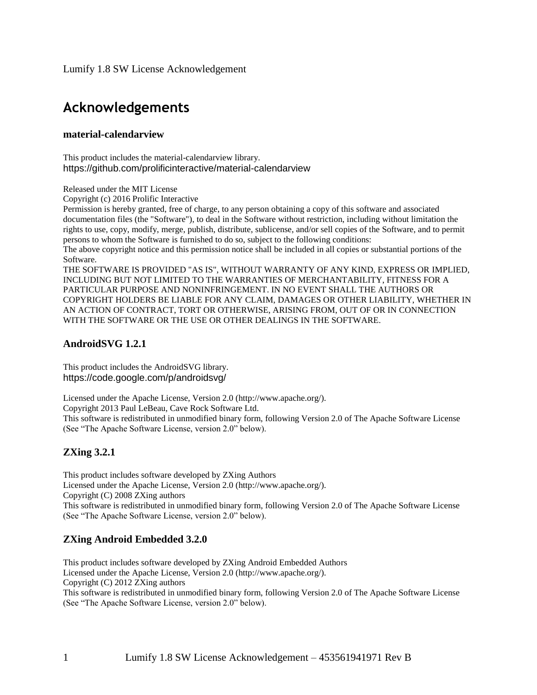Lumify 1.8 SW License Acknowledgement

# **Acknowledgements**

### **material-calendarview**

This product includes the material-calendarview library. https://github.com/prolificinteractive/material-calendarview

Released under the MIT License

Copyright (c) 2016 Prolific Interactive

Permission is hereby granted, free of charge, to any person obtaining a copy of this software and associated documentation files (the "Software"), to deal in the Software without restriction, including without limitation the rights to use, copy, modify, merge, publish, distribute, sublicense, and/or sell copies of the Software, and to permit persons to whom the Software is furnished to do so, subject to the following conditions:

The above copyright notice and this permission notice shall be included in all copies or substantial portions of the Software.

THE SOFTWARE IS PROVIDED "AS IS", WITHOUT WARRANTY OF ANY KIND, EXPRESS OR IMPLIED, INCLUDING BUT NOT LIMITED TO THE WARRANTIES OF MERCHANTABILITY, FITNESS FOR A PARTICULAR PURPOSE AND NONINFRINGEMENT. IN NO EVENT SHALL THE AUTHORS OR COPYRIGHT HOLDERS BE LIABLE FOR ANY CLAIM, DAMAGES OR OTHER LIABILITY, WHETHER IN AN ACTION OF CONTRACT, TORT OR OTHERWISE, ARISING FROM, OUT OF OR IN CONNECTION WITH THE SOFTWARE OR THE USE OR OTHER DEALINGS IN THE SOFTWARE.

### **AndroidSVG 1.2.1**

This product includes the AndroidSVG library. https://code.google.com/p/androidsvg/

Licensed under the Apache License, Version 2.0 (http://www.apache.org/). Copyright 2013 Paul LeBeau, Cave Rock Software Ltd. This software is redistributed in unmodified binary form, following Version 2.0 of The Apache Software License (See "The Apache Software License, version 2.0" below).

# **ZXing 3.2.1**

This product includes software developed by ZXing Authors Licensed under the Apache License, Version 2.0 (http://www.apache.org/). Copyright (C) 2008 ZXing authors This software is redistributed in unmodified binary form, following Version 2.0 of The Apache Software License (See "The Apache Software License, version 2.0" below).

### **ZXing Android Embedded 3.2.0**

This product includes software developed by ZXing Android Embedded Authors Licensed under the Apache License, Version 2.0 (http://www.apache.org/). Copyright (C) 2012 ZXing authors This software is redistributed in unmodified binary form, following Version 2.0 of The Apache Software License (See "The Apache Software License, version 2.0" below).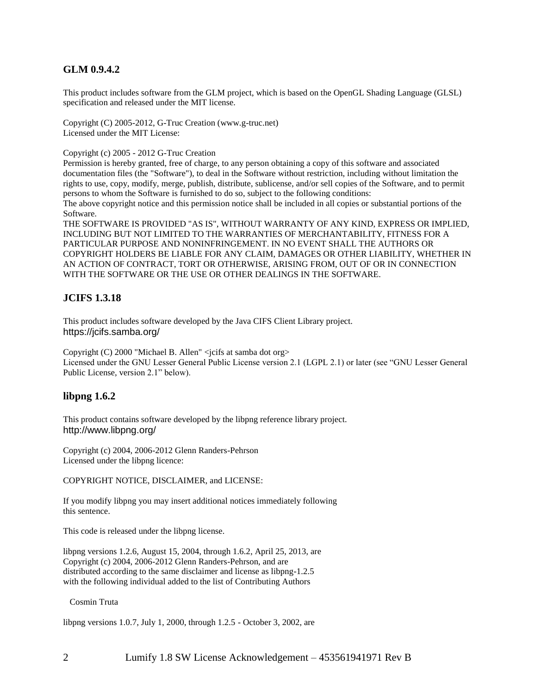# **GLM 0.9.4.2**

This product includes software from the GLM project, which is based on the OpenGL Shading Language (GLSL) specification and released under the MIT license.

Copyright (C) 2005-2012, G-Truc Creation (www.g-truc.net) Licensed under the MIT License:

Copyright (c) 2005 - 2012 G-Truc Creation

Permission is hereby granted, free of charge, to any person obtaining a copy of this software and associated documentation files (the "Software"), to deal in the Software without restriction, including without limitation the rights to use, copy, modify, merge, publish, distribute, sublicense, and/or sell copies of the Software, and to permit persons to whom the Software is furnished to do so, subject to the following conditions:

The above copyright notice and this permission notice shall be included in all copies or substantial portions of the Software.

THE SOFTWARE IS PROVIDED "AS IS", WITHOUT WARRANTY OF ANY KIND, EXPRESS OR IMPLIED, INCLUDING BUT NOT LIMITED TO THE WARRANTIES OF MERCHANTABILITY, FITNESS FOR A PARTICULAR PURPOSE AND NONINFRINGEMENT. IN NO EVENT SHALL THE AUTHORS OR COPYRIGHT HOLDERS BE LIABLE FOR ANY CLAIM, DAMAGES OR OTHER LIABILITY, WHETHER IN AN ACTION OF CONTRACT, TORT OR OTHERWISE, ARISING FROM, OUT OF OR IN CONNECTION WITH THE SOFTWARE OR THE USE OR OTHER DEALINGS IN THE SOFTWARE.

### **JCIFS 1.3.18**

This product includes software developed by the Java CIFS Client Library project. https://jcifs.samba.org/

Copyright (C) 2000 "Michael B. Allen" <jcifs at samba dot org> Licensed under the GNU Lesser General Public License version 2.1 (LGPL 2.1) or later (see "GNU Lesser General Public License, version 2.1" below).

### **libpng 1.6.2**

This product contains software developed by the libpng reference library project. http://www.libpng.org/

Copyright (c) 2004, 2006-2012 Glenn Randers-Pehrson Licensed under the libpng licence:

COPYRIGHT NOTICE, DISCLAIMER, and LICENSE:

If you modify libpng you may insert additional notices immediately following this sentence.

This code is released under the libpng license.

libpng versions 1.2.6, August 15, 2004, through 1.6.2, April 25, 2013, are Copyright (c) 2004, 2006-2012 Glenn Randers-Pehrson, and are distributed according to the same disclaimer and license as libpng-1.2.5 with the following individual added to the list of Contributing Authors

Cosmin Truta

libpng versions 1.0.7, July 1, 2000, through 1.2.5 - October 3, 2002, are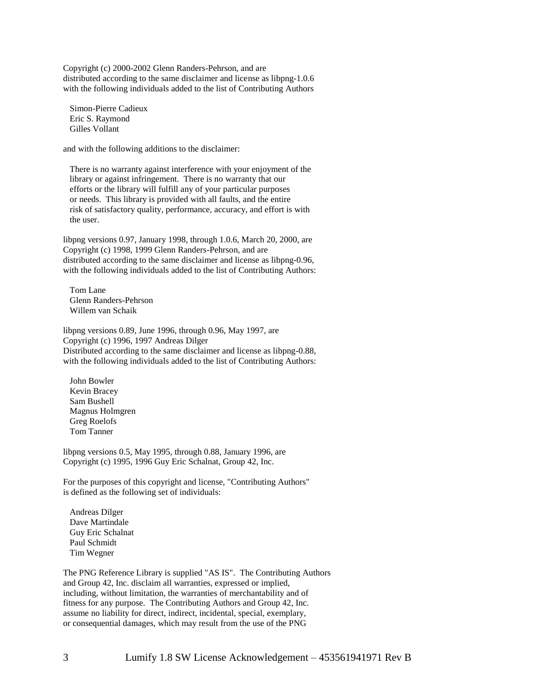Copyright (c) 2000-2002 Glenn Randers-Pehrson, and are distributed according to the same disclaimer and license as libpng-1.0.6 with the following individuals added to the list of Contributing Authors

Simon-Pierre Cadieux Eric S. Raymond Gilles Vollant

and with the following additions to the disclaimer:

There is no warranty against interference with your enjoyment of the library or against infringement. There is no warranty that our efforts or the library will fulfill any of your particular purposes or needs. This library is provided with all faults, and the entire risk of satisfactory quality, performance, accuracy, and effort is with the user.

libpng versions 0.97, January 1998, through 1.0.6, March 20, 2000, are Copyright (c) 1998, 1999 Glenn Randers-Pehrson, and are distributed according to the same disclaimer and license as libpng-0.96, with the following individuals added to the list of Contributing Authors:

Tom Lane Glenn Randers-Pehrson Willem van Schaik

libpng versions 0.89, June 1996, through 0.96, May 1997, are Copyright (c) 1996, 1997 Andreas Dilger Distributed according to the same disclaimer and license as libpng-0.88, with the following individuals added to the list of Contributing Authors:

John Bowler Kevin Bracey Sam Bushell Magnus Holmgren Greg Roelofs Tom Tanner

libpng versions 0.5, May 1995, through 0.88, January 1996, are Copyright (c) 1995, 1996 Guy Eric Schalnat, Group 42, Inc.

For the purposes of this copyright and license, "Contributing Authors" is defined as the following set of individuals:

Andreas Dilger Dave Martindale Guy Eric Schalnat Paul Schmidt Tim Wegner

The PNG Reference Library is supplied "AS IS". The Contributing Authors and Group 42, Inc. disclaim all warranties, expressed or implied, including, without limitation, the warranties of merchantability and of fitness for any purpose. The Contributing Authors and Group 42, Inc. assume no liability for direct, indirect, incidental, special, exemplary, or consequential damages, which may result from the use of the PNG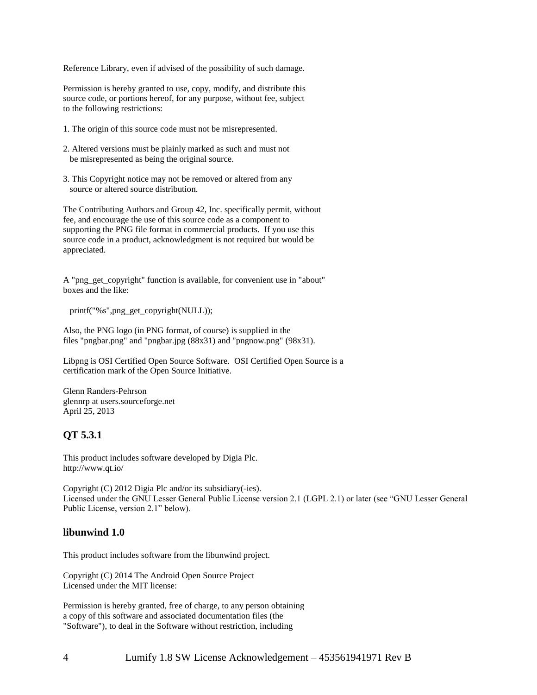Reference Library, even if advised of the possibility of such damage.

Permission is hereby granted to use, copy, modify, and distribute this source code, or portions hereof, for any purpose, without fee, subject to the following restrictions:

- 1. The origin of this source code must not be misrepresented.
- 2. Altered versions must be plainly marked as such and must not be misrepresented as being the original source.
- 3. This Copyright notice may not be removed or altered from any source or altered source distribution.

The Contributing Authors and Group 42, Inc. specifically permit, without fee, and encourage the use of this source code as a component to supporting the PNG file format in commercial products. If you use this source code in a product, acknowledgment is not required but would be appreciated.

A "png\_get\_copyright" function is available, for convenient use in "about" boxes and the like:

printf("%s",png\_get\_copyright(NULL));

Also, the PNG logo (in PNG format, of course) is supplied in the files "pngbar.png" and "pngbar.jpg (88x31) and "pngnow.png" (98x31).

Libpng is OSI Certified Open Source Software. OSI Certified Open Source is a certification mark of the Open Source Initiative.

Glenn Randers-Pehrson glennrp at users.sourceforge.net April 25, 2013

### **QT 5.3.1**

This product includes software developed by Digia Plc. http://www.qt.io/

Copyright (C) 2012 Digia Plc and/or its subsidiary(-ies). Licensed under the GNU Lesser General Public License version 2.1 (LGPL 2.1) or later (see "GNU Lesser General Public License, version 2.1" below).

#### **libunwind 1.0**

This product includes software from the libunwind project.

Copyright (C) 2014 The Android Open Source Project Licensed under the MIT license:

Permission is hereby granted, free of charge, to any person obtaining a copy of this software and associated documentation files (the "Software"), to deal in the Software without restriction, including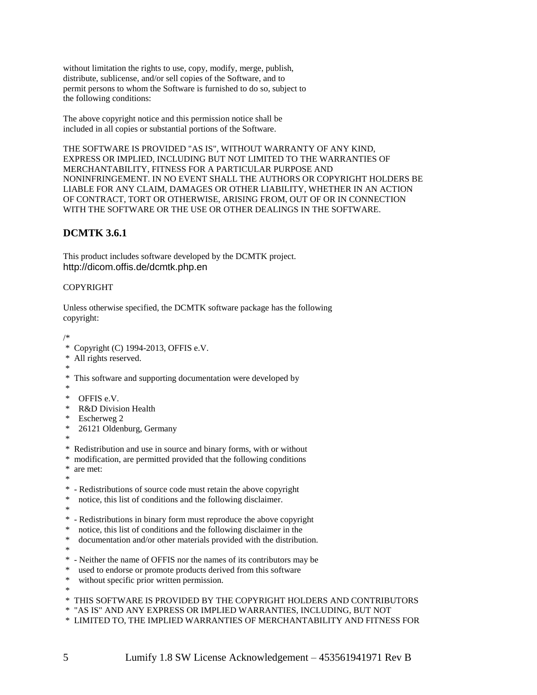without limitation the rights to use, copy, modify, merge, publish, distribute, sublicense, and/or sell copies of the Software, and to permit persons to whom the Software is furnished to do so, subject to the following conditions:

The above copyright notice and this permission notice shall be included in all copies or substantial portions of the Software.

THE SOFTWARE IS PROVIDED "AS IS", WITHOUT WARRANTY OF ANY KIND, EXPRESS OR IMPLIED, INCLUDING BUT NOT LIMITED TO THE WARRANTIES OF MERCHANTABILITY, FITNESS FOR A PARTICULAR PURPOSE AND NONINFRINGEMENT. IN NO EVENT SHALL THE AUTHORS OR COPYRIGHT HOLDERS BE LIABLE FOR ANY CLAIM, DAMAGES OR OTHER LIABILITY, WHETHER IN AN ACTION OF CONTRACT, TORT OR OTHERWISE, ARISING FROM, OUT OF OR IN CONNECTION WITH THE SOFTWARE OR THE USE OR OTHER DEALINGS IN THE SOFTWARE.

# **DCMTK 3.6.1**

This product includes software developed by the DCMTK project. http://dicom.offis.de/dcmtk.php.en

#### COPYRIGHT

Unless otherwise specified, the DCMTK software package has the following copyright:

/\* \* Copyright (C) 1994-2013, OFFIS e.V. \* All rights reserved. \* \* This software and supporting documentation were developed by \* \* OFFIS e.V. R&D Division Health \* Escherweg 2 \* 26121 Oldenburg, Germany \* \* Redistribution and use in source and binary forms, with or without modification, are permitted provided that the following conditions \* are met: \* \* - Redistributions of source code must retain the above copyright notice, this list of conditions and the following disclaimer. \* \* - Redistributions in binary form must reproduce the above copyright \* notice, this list of conditions and the following disclaimer in the \* documentation and/or other materials provided with the distribution. \* \* - Neither the name of OFFIS nor the names of its contributors may be used to endorse or promote products derived from this software without specific prior written permission. \* \* THIS SOFTWARE IS PROVIDED BY THE COPYRIGHT HOLDERS AND CONTRIBUTORS \* "AS IS" AND ANY EXPRESS OR IMPLIED WARRANTIES, INCLUDING, BUT NOT \* LIMITED TO, THE IMPLIED WARRANTIES OF MERCHANTABILITY AND FITNESS FOR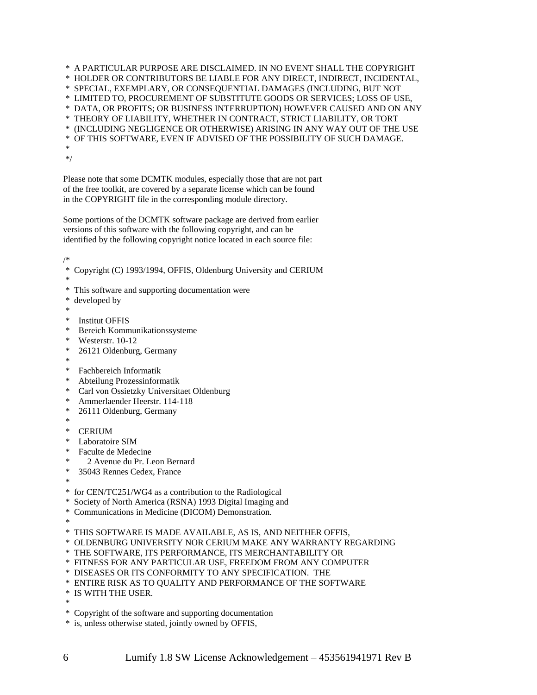\* A PARTICULAR PURPOSE ARE DISCLAIMED. IN NO EVENT SHALL THE COPYRIGHT \* HOLDER OR CONTRIBUTORS BE LIABLE FOR ANY DIRECT, INDIRECT, INCIDENTAL, \* SPECIAL, EXEMPLARY, OR CONSEQUENTIAL DAMAGES (INCLUDING, BUT NOT \* LIMITED TO, PROCUREMENT OF SUBSTITUTE GOODS OR SERVICES; LOSS OF USE, \* DATA, OR PROFITS; OR BUSINESS INTERRUPTION) HOWEVER CAUSED AND ON ANY \* THEORY OF LIABILITY, WHETHER IN CONTRACT, STRICT LIABILITY, OR TORT \* (INCLUDING NEGLIGENCE OR OTHERWISE) ARISING IN ANY WAY OUT OF THE USE \* OF THIS SOFTWARE, EVEN IF ADVISED OF THE POSSIBILITY OF SUCH DAMAGE. \*

\*/

Please note that some DCMTK modules, especially those that are not part of the free toolkit, are covered by a separate license which can be found in the COPYRIGHT file in the corresponding module directory.

Some portions of the DCMTK software package are derived from earlier versions of this software with the following copyright, and can be identified by the following copyright notice located in each source file:

/\*

```
* Copyright (C) 1993/1994, OFFIS, Oldenburg University and CERIUM
```
\*

- \* This software and supporting documentation were developed by
- 
- \*
- \* Institut OFFIS
- \* Bereich Kommunikationssysteme
- \* Westerstr. 10-12
- \* 26121 Oldenburg, Germany
- \*
- Fachbereich Informatik
- \* Abteilung Prozessinformatik
- \* Carl von Ossietzky Universitaet Oldenburg
- \* Ammerlaender Heerstr. 114-118
- \* 26111 Oldenburg, Germany
- \*
- \* CERIUM
- Laboratoire SIM
- Faculte de Medecine
- 2 Avenue du Pr. Leon Bernard
- 35043 Rennes Cedex, France
- \*
- \* for CEN/TC251/WG4 as a contribution to the Radiological
- Society of North America (RSNA) 1993 Digital Imaging and
- \* Communications in Medicine (DICOM) Demonstration.
- \*
- \* THIS SOFTWARE IS MADE AVAILABLE, AS IS, AND NEITHER OFFIS,
- \* OLDENBURG UNIVERSITY NOR CERIUM MAKE ANY WARRANTY REGARDING
- \* THE SOFTWARE, ITS PERFORMANCE, ITS MERCHANTABILITY OR
- \* FITNESS FOR ANY PARTICULAR USE, FREEDOM FROM ANY COMPUTER
- \* DISEASES OR ITS CONFORMITY TO ANY SPECIFICATION. THE
- \* ENTIRE RISK AS TO QUALITY AND PERFORMANCE OF THE SOFTWARE
- \* IS WITH THE USER.
- \*
- \* Copyright of the software and supporting documentation
- \* is, unless otherwise stated, jointly owned by OFFIS,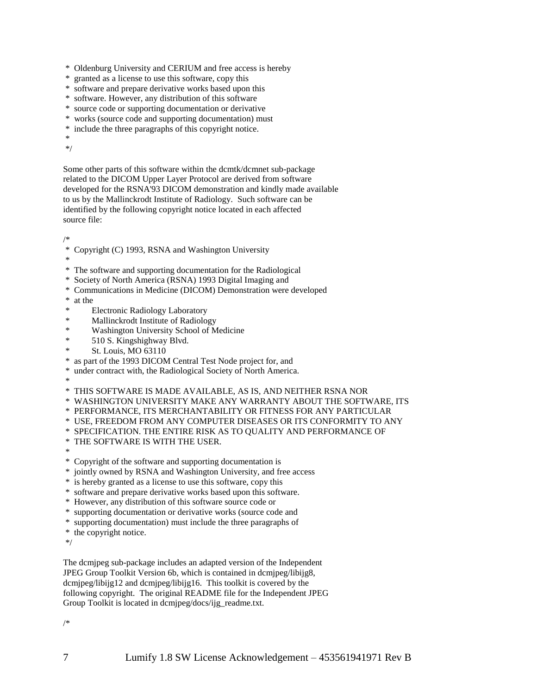- \* Oldenburg University and CERIUM and free access is hereby
- \* granted as a license to use this software, copy this
- \* software and prepare derivative works based upon this
- \* software. However, any distribution of this software
- \* source code or supporting documentation or derivative
- \* works (source code and supporting documentation) must
- \* include the three paragraphs of this copyright notice.

\*

\*/

Some other parts of this software within the dcmtk/dcmnet sub-package related to the DICOM Upper Layer Protocol are derived from software developed for the RSNA'93 DICOM demonstration and kindly made available to us by the Mallinckrodt Institute of Radiology. Such software can be identified by the following copyright notice located in each affected source file:

/\*

\* Copyright (C) 1993, RSNA and Washington University

\*

\* The software and supporting documentation for the Radiological

- \* Society of North America (RSNA) 1993 Digital Imaging and
- \* Communications in Medicine (DICOM) Demonstration were developed

at the

- **Electronic Radiology Laboratory**
- \* Mallinckrodt Institute of Radiology
- \* Washington University School of Medicine
- \* 510 S. Kingshighway Blvd.
- St. Louis, MO 63110
- \* as part of the 1993 DICOM Central Test Node project for, and
- under contract with, the Radiological Society of North America.

\*

\* THIS SOFTWARE IS MADE AVAILABLE, AS IS, AND NEITHER RSNA NOR

- \* WASHINGTON UNIVERSITY MAKE ANY WARRANTY ABOUT THE SOFTWARE, ITS
- \* PERFORMANCE, ITS MERCHANTABILITY OR FITNESS FOR ANY PARTICULAR

\* USE, FREEDOM FROM ANY COMPUTER DISEASES OR ITS CONFORMITY TO ANY

\* SPECIFICATION. THE ENTIRE RISK AS TO QUALITY AND PERFORMANCE OF

\* THE SOFTWARE IS WITH THE USER.

\*

\* Copyright of the software and supporting documentation is

- \* jointly owned by RSNA and Washington University, and free access
- \* is hereby granted as a license to use this software, copy this
- \* software and prepare derivative works based upon this software.
- \* However, any distribution of this software source code or
- \* supporting documentation or derivative works (source code and
- \* supporting documentation) must include the three paragraphs of
- \* the copyright notice.

\*/

The dcmjpeg sub-package includes an adapted version of the Independent JPEG Group Toolkit Version 6b, which is contained in dcmjpeg/libijg8, dcmjpeg/libijg12 and dcmjpeg/libijg16. This toolkit is covered by the following copyright. The original README file for the Independent JPEG Group Toolkit is located in dcmjpeg/docs/ijg\_readme.txt.

/\*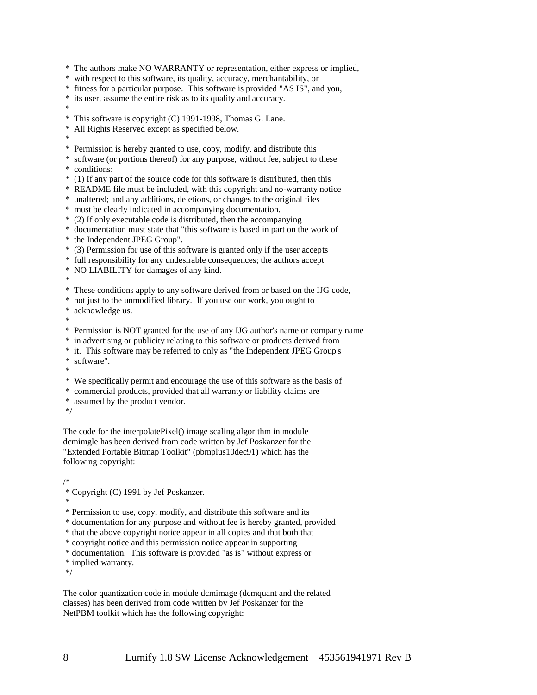\* The authors make NO WARRANTY or representation, either express or implied,

\* with respect to this software, its quality, accuracy, merchantability, or

- \* fitness for a particular purpose. This software is provided "AS IS", and you,
- \* its user, assume the entire risk as to its quality and accuracy.

\*

- \* This software is copyright (C) 1991-1998, Thomas G. Lane.
- \* All Rights Reserved except as specified below.
- \*
- \* Permission is hereby granted to use, copy, modify, and distribute this
- \* software (or portions thereof) for any purpose, without fee, subject to these \* conditions:
- \* (1) If any part of the source code for this software is distributed, then this
- \* README file must be included, with this copyright and no-warranty notice
- \* unaltered; and any additions, deletions, or changes to the original files
- \* must be clearly indicated in accompanying documentation.
- \* (2) If only executable code is distributed, then the accompanying
- \* documentation must state that "this software is based in part on the work of
- \* the Independent JPEG Group".
- \* (3) Permission for use of this software is granted only if the user accepts
- \* full responsibility for any undesirable consequences; the authors accept
- \* NO LIABILITY for damages of any kind.

\*

- \* These conditions apply to any software derived from or based on the IJG code,
- \* not just to the unmodified library. If you use our work, you ought to

\* acknowledge us.

- \*
- \* Permission is NOT granted for the use of any IJG author's name or company name
- \* in advertising or publicity relating to this software or products derived from
- \* it. This software may be referred to only as "the Independent JPEG Group's

\* software".

- \*
- \* We specifically permit and encourage the use of this software as the basis of
- \* commercial products, provided that all warranty or liability claims are
- \* assumed by the product vendor.
- \*/

The code for the interpolatePixel() image scaling algorithm in module dcmimgle has been derived from code written by Jef Poskanzer for the "Extended Portable Bitmap Toolkit" (pbmplus10dec91) which has the following copyright:

/\*

- \* Copyright (C) 1991 by Jef Poskanzer.
- \*
- \* Permission to use, copy, modify, and distribute this software and its
- \* documentation for any purpose and without fee is hereby granted, provided
- \* that the above copyright notice appear in all copies and that both that
- \* copyright notice and this permission notice appear in supporting
- \* documentation. This software is provided "as is" without express or
- \* implied warranty.

\*/

The color quantization code in module dcmimage (dcmquant and the related classes) has been derived from code written by Jef Poskanzer for the NetPBM toolkit which has the following copyright: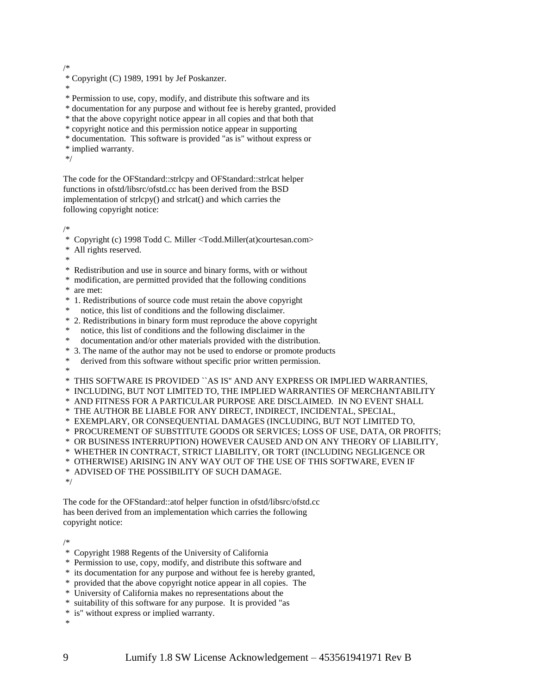/\*

- \* Copyright (C) 1989, 1991 by Jef Poskanzer.
- \*
- \* Permission to use, copy, modify, and distribute this software and its
- \* documentation for any purpose and without fee is hereby granted, provided
- \* that the above copyright notice appear in all copies and that both that
- \* copyright notice and this permission notice appear in supporting
- \* documentation. This software is provided "as is" without express or
- \* implied warranty.
- \*/

The code for the OFStandard::strlcpy and OFStandard::strlcat helper functions in ofstd/libsrc/ofstd.cc has been derived from the BSD implementation of strlcpy() and strlcat() and which carries the following copyright notice:

/\*

- Copyright (c) 1998 Todd C. Miller <Todd.Miller(at)courtesan.com>
- All rights reserved.
- \*
- \* Redistribution and use in source and binary forms, with or without
- \* modification, are permitted provided that the following conditions

\* are met:

- \* 1. Redistributions of source code must retain the above copyright
- notice, this list of conditions and the following disclaimer.
- \* 2. Redistributions in binary form must reproduce the above copyright
- \* notice, this list of conditions and the following disclaimer in the
- \* documentation and/or other materials provided with the distribution.
- \* 3. The name of the author may not be used to endorse or promote products
- \* derived from this software without specific prior written permission.
- \*
- \* THIS SOFTWARE IS PROVIDED ``AS IS'' AND ANY EXPRESS OR IMPLIED WARRANTIES,
- \* INCLUDING, BUT NOT LIMITED TO, THE IMPLIED WARRANTIES OF MERCHANTABILITY
- \* AND FITNESS FOR A PARTICULAR PURPOSE ARE DISCLAIMED. IN NO EVENT SHALL
- \* THE AUTHOR BE LIABLE FOR ANY DIRECT, INDIRECT, INCIDENTAL, SPECIAL,
- \* EXEMPLARY, OR CONSEQUENTIAL DAMAGES (INCLUDING, BUT NOT LIMITED TO,
- \* PROCUREMENT OF SUBSTITUTE GOODS OR SERVICES; LOSS OF USE, DATA, OR PROFITS;
- \* OR BUSINESS INTERRUPTION) HOWEVER CAUSED AND ON ANY THEORY OF LIABILITY,
- \* WHETHER IN CONTRACT, STRICT LIABILITY, OR TORT (INCLUDING NEGLIGENCE OR
- \* OTHERWISE) ARISING IN ANY WAY OUT OF THE USE OF THIS SOFTWARE, EVEN IF
- \* ADVISED OF THE POSSIBILITY OF SUCH DAMAGE.

\*/

The code for the OFStandard::atof helper function in ofstd/libsrc/ofstd.cc has been derived from an implementation which carries the following copyright notice:

/\*

- \* Copyright 1988 Regents of the University of California
- \* Permission to use, copy, modify, and distribute this software and
- \* its documentation for any purpose and without fee is hereby granted,
- \* provided that the above copyright notice appear in all copies. The
- \* University of California makes no representations about the
- \* suitability of this software for any purpose. It is provided "as
- \* is" without express or implied warranty.

\*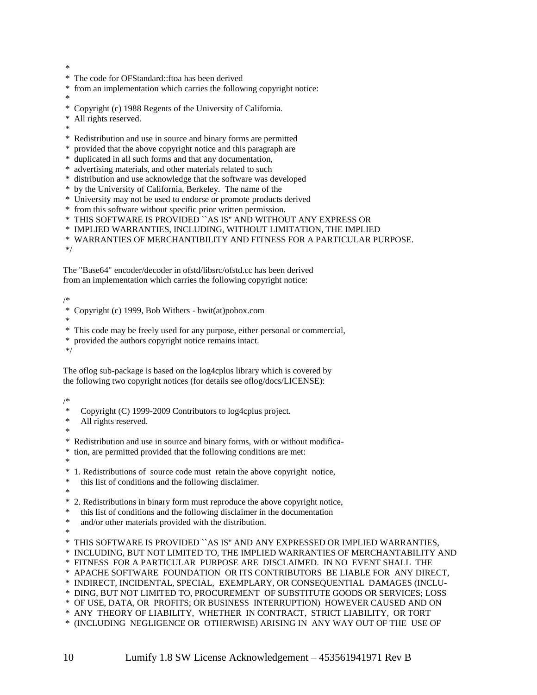- \*
- \* The code for OFStandard::ftoa has been derived
- from an implementation which carries the following copyright notice:
- \*
- \* Copyright (c) 1988 Regents of the University of California.
- All rights reserved.
- \*
- \* Redistribution and use in source and binary forms are permitted
- \* provided that the above copyright notice and this paragraph are
- duplicated in all such forms and that any documentation,
- \* advertising materials, and other materials related to such
- \* distribution and use acknowledge that the software was developed
- \* by the University of California, Berkeley. The name of the
- \* University may not be used to endorse or promote products derived
- \* from this software without specific prior written permission.
- \* THIS SOFTWARE IS PROVIDED ``AS IS'' AND WITHOUT ANY EXPRESS OR
- \* IMPLIED WARRANTIES, INCLUDING, WITHOUT LIMITATION, THE IMPLIED
- \* WARRANTIES OF MERCHANTIBILITY AND FITNESS FOR A PARTICULAR PURPOSE.

\*/

The "Base64" encoder/decoder in ofstd/libsrc/ofstd.cc has been derived from an implementation which carries the following copyright notice:

#### /\*

- \* Copyright (c) 1999, Bob Withers bwit(at)pobox.com
- \*
- \* This code may be freely used for any purpose, either personal or commercial,
- \* provided the authors copyright notice remains intact.

\*/

The oflog sub-package is based on the log4cplus library which is covered by the following two copyright notices (for details see oflog/docs/LICENSE):

#### /\*

- Copyright (C) 1999-2009 Contributors to log4cplus project.
- \* All rights reserved.
- \*

\* Redistribution and use in source and binary forms, with or without modifica-

- \* tion, are permitted provided that the following conditions are met:
- \*
- \* 1. Redistributions of source code must retain the above copyright notice,
- \* this list of conditions and the following disclaimer.
- \*
- \* 2. Redistributions in binary form must reproduce the above copyright notice,
- this list of conditions and the following disclaimer in the documentation
- \* and/or other materials provided with the distribution.
- \*
- \* THIS SOFTWARE IS PROVIDED ``AS IS'' AND ANY EXPRESSED OR IMPLIED WARRANTIES,
- \* INCLUDING, BUT NOT LIMITED TO, THE IMPLIED WARRANTIES OF MERCHANTABILITY AND
- \* FITNESS FOR A PARTICULAR PURPOSE ARE DISCLAIMED. IN NO EVENT SHALL THE
- \* APACHE SOFTWARE FOUNDATION OR ITS CONTRIBUTORS BE LIABLE FOR ANY DIRECT,
- \* INDIRECT, INCIDENTAL, SPECIAL, EXEMPLARY, OR CONSEQUENTIAL DAMAGES (INCLU-
- \* DING, BUT NOT LIMITED TO, PROCUREMENT OF SUBSTITUTE GOODS OR SERVICES; LOSS
- \* OF USE, DATA, OR PROFITS; OR BUSINESS INTERRUPTION) HOWEVER CAUSED AND ON
- \* ANY THEORY OF LIABILITY, WHETHER IN CONTRACT, STRICT LIABILITY, OR TORT
- \* (INCLUDING NEGLIGENCE OR OTHERWISE) ARISING IN ANY WAY OUT OF THE USE OF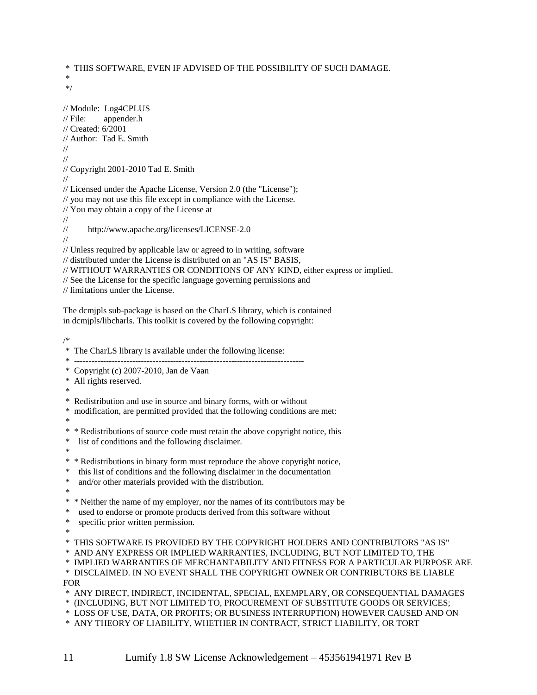\* THIS SOFTWARE, EVEN IF ADVISED OF THE POSSIBILITY OF SUCH DAMAGE. \* \*/ // Module: Log4CPLUS // File: appender.h // Created: 6/2001 // Author: Tad E. Smith // // // Copyright 2001-2010 Tad E. Smith // // Licensed under the Apache License, Version 2.0 (the "License"); // you may not use this file except in compliance with the License. // You may obtain a copy of the License at // // http://www.apache.org/licenses/LICENSE-2.0 // // Unless required by applicable law or agreed to in writing, software // distributed under the License is distributed on an "AS IS" BASIS, // WITHOUT WARRANTIES OR CONDITIONS OF ANY KIND, either express or implied. // See the License for the specific language governing permissions and // limitations under the License.

The dcmjpls sub-package is based on the CharLS library, which is contained in dcmjpls/libcharls. This toolkit is covered by the following copyright:

/\*

\* The CharLS library is available under the following license:

\* -------------------------------------------------------------------------------

\* Copyright (c) 2007-2010, Jan de Vaan

\* All rights reserved.

\*

\* Redistribution and use in source and binary forms, with or without

modification, are permitted provided that the following conditions are met:

\*

\* \* Redistributions of source code must retain the above copyright notice, this

list of conditions and the following disclaimer.

\*

\* \* Redistributions in binary form must reproduce the above copyright notice,

\* this list of conditions and the following disclaimer in the documentation

\* and/or other materials provided with the distribution.

\*

\* \* Neither the name of my employer, nor the names of its contributors may be

used to endorse or promote products derived from this software without

specific prior written permission.

\*

\* THIS SOFTWARE IS PROVIDED BY THE COPYRIGHT HOLDERS AND CONTRIBUTORS "AS IS"

\* AND ANY EXPRESS OR IMPLIED WARRANTIES, INCLUDING, BUT NOT LIMITED TO, THE

\* IMPLIED WARRANTIES OF MERCHANTABILITY AND FITNESS FOR A PARTICULAR PURPOSE ARE

\* DISCLAIMED. IN NO EVENT SHALL THE COPYRIGHT OWNER OR CONTRIBUTORS BE LIABLE FOR

\* ANY DIRECT, INDIRECT, INCIDENTAL, SPECIAL, EXEMPLARY, OR CONSEQUENTIAL DAMAGES

\* (INCLUDING, BUT NOT LIMITED TO, PROCUREMENT OF SUBSTITUTE GOODS OR SERVICES;

\* LOSS OF USE, DATA, OR PROFITS; OR BUSINESS INTERRUPTION) HOWEVER CAUSED AND ON

\* ANY THEORY OF LIABILITY, WHETHER IN CONTRACT, STRICT LIABILITY, OR TORT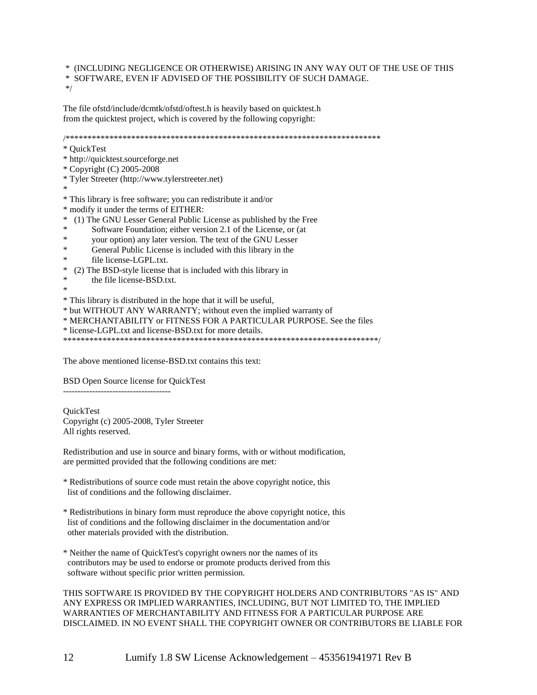\* (INCLUDING NEGLIGENCE OR OTHERWISE) ARISING IN ANY WAY OUT OF THE USE OF THIS \* SOFTWARE, EVEN IF ADVISED OF THE POSSIBILITY OF SUCH DAMAGE.

\*/

The file ofstd/include/dcmtk/ofstd/oftest.h is heavily based on quicktest.h from the quicktest project, which is covered by the following copyright:

/\*\*\*\*\*\*\*\*\*\*\*\*\*\*\*\*\*\*\*\*\*\*\*\*\*\*\*\*\*\*\*\*\*\*\*\*\*\*\*\*\*\*\*\*\*\*\*\*\*\*\*\*\*\*\*\*\*\*\*\*\*\*\*\*\*\*\*\*\*\*\*\* \* QuickTest \* http://quicktest.sourceforge.net \* Copyright (C) 2005-2008 \* Tyler Streeter (http://www.tylerstreeter.net) \* \* This library is free software; you can redistribute it and/or \* modify it under the terms of EITHER: \* (1) The GNU Lesser General Public License as published by the Free Software Foundation; either version 2.1 of the License, or (at \* your option) any later version. The text of the GNU Lesser \* General Public License is included with this library in the \* file license-LGPL.txt.<br>\* (2) The BSD style license t \* (2) The BSD-style license that is included with this library in \* the file license-BSD.txt. \* \* This library is distributed in the hope that it will be useful, \* but WITHOUT ANY WARRANTY; without even the implied warranty of \* MERCHANTABILITY or FITNESS FOR A PARTICULAR PURPOSE. See the files \* license-LGPL.txt and license-BSD.txt for more details. \*\*\*\*\*\*\*\*\*\*\*\*\*\*\*\*\*\*\*\*\*\*\*\*\*\*\*\*\*\*\*\*\*\*\*\*\*\*\*\*\*\*\*\*\*\*\*\*\*\*\*\*\*\*\*\*\*\*\*\*\*\*\*\*\*\*\*\*\*\*\*\*/

The above mentioned license-BSD.txt contains this text:

BSD Open Source license for QuickTest

-------------------------------------

**OuickTest** Copyright (c) 2005-2008, Tyler Streeter All rights reserved.

Redistribution and use in source and binary forms, with or without modification, are permitted provided that the following conditions are met:

- \* Redistributions of source code must retain the above copyright notice, this list of conditions and the following disclaimer.
- \* Redistributions in binary form must reproduce the above copyright notice, this list of conditions and the following disclaimer in the documentation and/or other materials provided with the distribution.
- \* Neither the name of QuickTest's copyright owners nor the names of its contributors may be used to endorse or promote products derived from this software without specific prior written permission.

THIS SOFTWARE IS PROVIDED BY THE COPYRIGHT HOLDERS AND CONTRIBUTORS "AS IS" AND ANY EXPRESS OR IMPLIED WARRANTIES, INCLUDING, BUT NOT LIMITED TO, THE IMPLIED WARRANTIES OF MERCHANTABILITY AND FITNESS FOR A PARTICULAR PURPOSE ARE DISCLAIMED. IN NO EVENT SHALL THE COPYRIGHT OWNER OR CONTRIBUTORS BE LIABLE FOR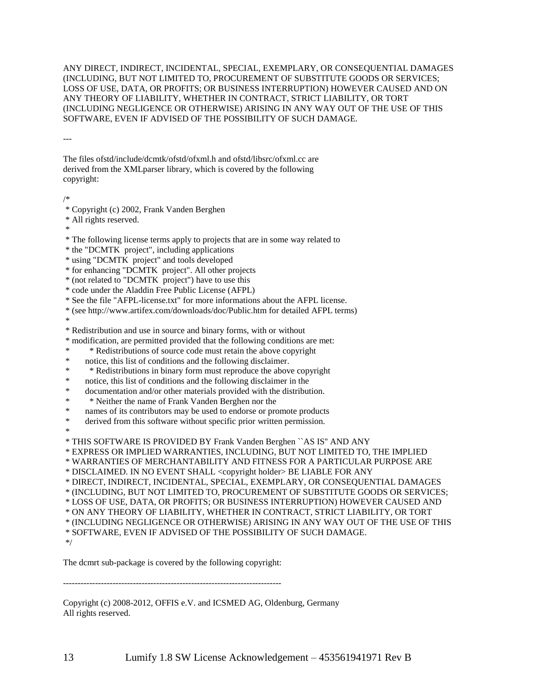ANY DIRECT, INDIRECT, INCIDENTAL, SPECIAL, EXEMPLARY, OR CONSEQUENTIAL DAMAGES (INCLUDING, BUT NOT LIMITED TO, PROCUREMENT OF SUBSTITUTE GOODS OR SERVICES; LOSS OF USE, DATA, OR PROFITS; OR BUSINESS INTERRUPTION) HOWEVER CAUSED AND ON ANY THEORY OF LIABILITY, WHETHER IN CONTRACT, STRICT LIABILITY, OR TORT (INCLUDING NEGLIGENCE OR OTHERWISE) ARISING IN ANY WAY OUT OF THE USE OF THIS SOFTWARE, EVEN IF ADVISED OF THE POSSIBILITY OF SUCH DAMAGE.

---

The files ofstd/include/dcmtk/ofstd/ofxml.h and ofstd/libsrc/ofxml.cc are derived from the XMLparser library, which is covered by the following copyright:

/\*

- \* Copyright (c) 2002, Frank Vanden Berghen
- \* All rights reserved.
- \*

\* The following license terms apply to projects that are in some way related to

\* the "DCMTK project", including applications

\* using "DCMTK project" and tools developed

\* for enhancing "DCMTK project". All other projects

\* (not related to "DCMTK project") have to use this

\* code under the Aladdin Free Public License (AFPL)

\* See the file "AFPL-license.txt" for more informations about the AFPL license.

\* (see http://www.artifex.com/downloads/doc/Public.htm for detailed AFPL terms)

\*

\* Redistribution and use in source and binary forms, with or without

- \* modification, are permitted provided that the following conditions are met:
- \* \* Redistributions of source code must retain the above copyright

\* notice, this list of conditions and the following disclaimer.

- \* \* Redistributions in binary form must reproduce the above copyright
- \* notice, this list of conditions and the following disclaimer in the distribute
- \* documentation and/or other materials provided with the distribution.<br>\* Neither the name of Freek Monden Berghan near the
- \* Neither the name of Frank Vanden Berghen nor the<br>\* names of its contributors may be used to anderse or pro-
- names of its contributors may be used to endorse or promote products
- \* derived from this software without specific prior written permission.
- \*

\* THIS SOFTWARE IS PROVIDED BY Frank Vanden Berghen ``AS IS'' AND ANY

\* EXPRESS OR IMPLIED WARRANTIES, INCLUDING, BUT NOT LIMITED TO, THE IMPLIED

\* WARRANTIES OF MERCHANTABILITY AND FITNESS FOR A PARTICULAR PURPOSE ARE

\* DISCLAIMED. IN NO EVENT SHALL <copyright holder> BE LIABLE FOR ANY

\* DIRECT, INDIRECT, INCIDENTAL, SPECIAL, EXEMPLARY, OR CONSEQUENTIAL DAMAGES

\* (INCLUDING, BUT NOT LIMITED TO, PROCUREMENT OF SUBSTITUTE GOODS OR SERVICES;

\* LOSS OF USE, DATA, OR PROFITS; OR BUSINESS INTERRUPTION) HOWEVER CAUSED AND

\* ON ANY THEORY OF LIABILITY, WHETHER IN CONTRACT, STRICT LIABILITY, OR TORT

\* (INCLUDING NEGLIGENCE OR OTHERWISE) ARISING IN ANY WAY OUT OF THE USE OF THIS

\* SOFTWARE, EVEN IF ADVISED OF THE POSSIBILITY OF SUCH DAMAGE.

\*/

The dcmrt sub-package is covered by the following copyright:

---------------------------------------------------------------------------

Copyright (c) 2008-2012, OFFIS e.V. and ICSMED AG, Oldenburg, Germany All rights reserved.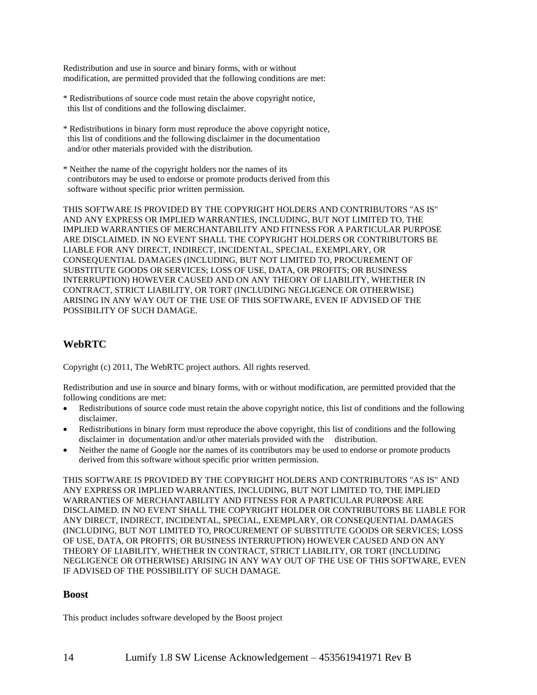Redistribution and use in source and binary forms, with or without modification, are permitted provided that the following conditions are met:

- \* Redistributions of source code must retain the above copyright notice, this list of conditions and the following disclaimer.
- \* Redistributions in binary form must reproduce the above copyright notice, this list of conditions and the following disclaimer in the documentation and/or other materials provided with the distribution.
- \* Neither the name of the copyright holders nor the names of its contributors may be used to endorse or promote products derived from this software without specific prior written permission.

THIS SOFTWARE IS PROVIDED BY THE COPYRIGHT HOLDERS AND CONTRIBUTORS "AS IS" AND ANY EXPRESS OR IMPLIED WARRANTIES, INCLUDING, BUT NOT LIMITED TO, THE IMPLIED WARRANTIES OF MERCHANTABILITY AND FITNESS FOR A PARTICULAR PURPOSE ARE DISCLAIMED. IN NO EVENT SHALL THE COPYRIGHT HOLDERS OR CONTRIBUTORS BE LIABLE FOR ANY DIRECT, INDIRECT, INCIDENTAL, SPECIAL, EXEMPLARY, OR CONSEQUENTIAL DAMAGES (INCLUDING, BUT NOT LIMITED TO, PROCUREMENT OF SUBSTITUTE GOODS OR SERVICES; LOSS OF USE, DATA, OR PROFITS; OR BUSINESS INTERRUPTION) HOWEVER CAUSED AND ON ANY THEORY OF LIABILITY, WHETHER IN CONTRACT, STRICT LIABILITY, OR TORT (INCLUDING NEGLIGENCE OR OTHERWISE) ARISING IN ANY WAY OUT OF THE USE OF THIS SOFTWARE, EVEN IF ADVISED OF THE POSSIBILITY OF SUCH DAMAGE.

# **WebRTC**

Copyright (c) 2011, The WebRTC project authors. All rights reserved.

Redistribution and use in source and binary forms, with or without modification, are permitted provided that the following conditions are met:

- Redistributions of source code must retain the above copyright notice, this list of conditions and the following disclaimer.
- Redistributions in binary form must reproduce the above copyright, this list of conditions and the following disclaimer in documentation and/or other materials provided with the distribution.
- Neither the name of Google nor the names of its contributors may be used to endorse or promote products derived from this software without specific prior written permission.

THIS SOFTWARE IS PROVIDED BY THE COPYRIGHT HOLDERS AND CONTRIBUTORS "AS IS" AND ANY EXPRESS OR IMPLIED WARRANTIES, INCLUDING, BUT NOT LIMITED TO, THE IMPLIED WARRANTIES OF MERCHANTABILITY AND FITNESS FOR A PARTICULAR PURPOSE ARE DISCLAIMED. IN NO EVENT SHALL THE COPYRIGHT HOLDER OR CONTRIBUTORS BE LIABLE FOR ANY DIRECT, INDIRECT, INCIDENTAL, SPECIAL, EXEMPLARY, OR CONSEQUENTIAL DAMAGES (INCLUDING, BUT NOT LIMITED TO, PROCUREMENT OF SUBSTITUTE GOODS OR SERVICES; LOSS OF USE, DATA, OR PROFITS; OR BUSINESS INTERRUPTION) HOWEVER CAUSED AND ON ANY THEORY OF LIABILITY, WHETHER IN CONTRACT, STRICT LIABILITY, OR TORT (INCLUDING NEGLIGENCE OR OTHERWISE) ARISING IN ANY WAY OUT OF THE USE OF THIS SOFTWARE, EVEN IF ADVISED OF THE POSSIBILITY OF SUCH DAMAGE.

### **Boost**

This product includes software developed by the Boost project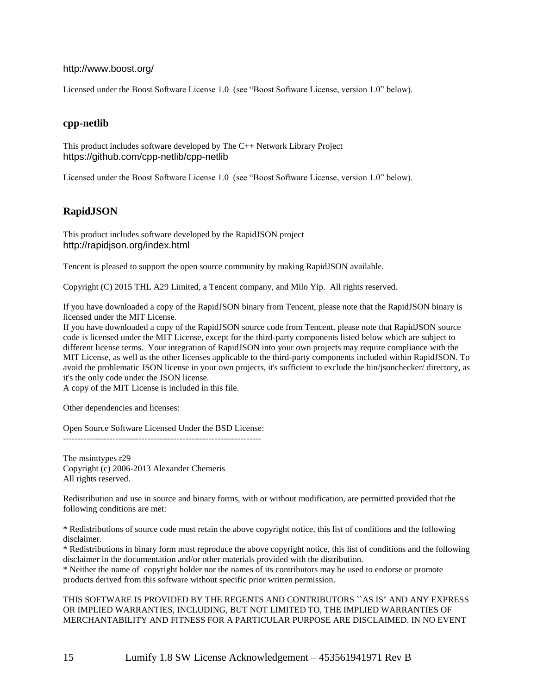#### http://www.boost.org/

Licensed under the Boost Software License 1.0 (see "Boost Software License, version 1.0" below).

### **cpp-netlib**

This product includes software developed by The C++ Network Library Project https://github.com/cpp-netlib/cpp-netlib

Licensed under the Boost Software License 1.0 (see "Boost Software License, version 1.0" below).

### **RapidJSON**

This product includes software developed by the RapidJSON project http://rapidjson.org/index.html

Tencent is pleased to support the open source community by making RapidJSON available.

Copyright (C) 2015 THL A29 Limited, a Tencent company, and Milo Yip. All rights reserved.

If you have downloaded a copy of the RapidJSON binary from Tencent, please note that the RapidJSON binary is licensed under the MIT License.

If you have downloaded a copy of the RapidJSON source code from Tencent, please note that RapidJSON source code is licensed under the MIT License, except for the third-party components listed below which are subject to different license terms. Your integration of RapidJSON into your own projects may require compliance with the MIT License, as well as the other licenses applicable to the third-party components included within RapidJSON. To avoid the problematic JSON license in your own projects, it's sufficient to exclude the bin/jsonchecker/ directory, as it's the only code under the JSON license.

A copy of the MIT License is included in this file.

Other dependencies and licenses:

Open Source Software Licensed Under the BSD License: --------------------------------------------------------------------

The msinttypes r29 Copyright (c) 2006-2013 Alexander Chemeris All rights reserved.

Redistribution and use in source and binary forms, with or without modification, are permitted provided that the following conditions are met:

\* Redistributions of source code must retain the above copyright notice, this list of conditions and the following disclaimer.

\* Redistributions in binary form must reproduce the above copyright notice, this list of conditions and the following disclaimer in the documentation and/or other materials provided with the distribution.

\* Neither the name of copyright holder nor the names of its contributors may be used to endorse or promote products derived from this software without specific prior written permission.

THIS SOFTWARE IS PROVIDED BY THE REGENTS AND CONTRIBUTORS ``AS IS'' AND ANY EXPRESS OR IMPLIED WARRANTIES, INCLUDING, BUT NOT LIMITED TO, THE IMPLIED WARRANTIES OF MERCHANTABILITY AND FITNESS FOR A PARTICULAR PURPOSE ARE DISCLAIMED. IN NO EVENT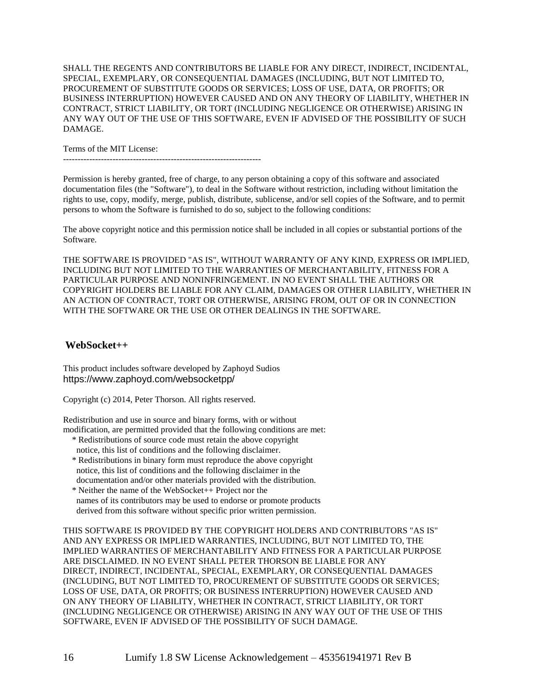SHALL THE REGENTS AND CONTRIBUTORS BE LIABLE FOR ANY DIRECT, INDIRECT, INCIDENTAL, SPECIAL, EXEMPLARY, OR CONSEQUENTIAL DAMAGES (INCLUDING, BUT NOT LIMITED TO, PROCUREMENT OF SUBSTITUTE GOODS OR SERVICES; LOSS OF USE, DATA, OR PROFITS; OR BUSINESS INTERRUPTION) HOWEVER CAUSED AND ON ANY THEORY OF LIABILITY, WHETHER IN CONTRACT, STRICT LIABILITY, OR TORT (INCLUDING NEGLIGENCE OR OTHERWISE) ARISING IN ANY WAY OUT OF THE USE OF THIS SOFTWARE, EVEN IF ADVISED OF THE POSSIBILITY OF SUCH DAMAGE.

Terms of the MIT License:

--------------------------------------------------------------------

Permission is hereby granted, free of charge, to any person obtaining a copy of this software and associated documentation files (the "Software"), to deal in the Software without restriction, including without limitation the rights to use, copy, modify, merge, publish, distribute, sublicense, and/or sell copies of the Software, and to permit persons to whom the Software is furnished to do so, subject to the following conditions:

The above copyright notice and this permission notice shall be included in all copies or substantial portions of the Software.

THE SOFTWARE IS PROVIDED "AS IS", WITHOUT WARRANTY OF ANY KIND, EXPRESS OR IMPLIED, INCLUDING BUT NOT LIMITED TO THE WARRANTIES OF MERCHANTABILITY, FITNESS FOR A PARTICULAR PURPOSE AND NONINFRINGEMENT. IN NO EVENT SHALL THE AUTHORS OR COPYRIGHT HOLDERS BE LIABLE FOR ANY CLAIM, DAMAGES OR OTHER LIABILITY, WHETHER IN AN ACTION OF CONTRACT, TORT OR OTHERWISE, ARISING FROM, OUT OF OR IN CONNECTION WITH THE SOFTWARE OR THE USE OR OTHER DEALINGS IN THE SOFTWARE.

#### **WebSocket++**

This product includes software developed by Zaphoyd Sudios https://www.zaphoyd.com/websocketpp/

Copyright (c) 2014, Peter Thorson. All rights reserved.

Redistribution and use in source and binary forms, with or without modification, are permitted provided that the following conditions are met:

- \* Redistributions of source code must retain the above copyright notice, this list of conditions and the following disclaimer.
- \* Redistributions in binary form must reproduce the above copyright notice, this list of conditions and the following disclaimer in the documentation and/or other materials provided with the distribution.
- \* Neither the name of the WebSocket++ Project nor the names of its contributors may be used to endorse or promote products derived from this software without specific prior written permission.

THIS SOFTWARE IS PROVIDED BY THE COPYRIGHT HOLDERS AND CONTRIBUTORS "AS IS" AND ANY EXPRESS OR IMPLIED WARRANTIES, INCLUDING, BUT NOT LIMITED TO, THE IMPLIED WARRANTIES OF MERCHANTABILITY AND FITNESS FOR A PARTICULAR PURPOSE ARE DISCLAIMED. IN NO EVENT SHALL PETER THORSON BE LIABLE FOR ANY DIRECT, INDIRECT, INCIDENTAL, SPECIAL, EXEMPLARY, OR CONSEQUENTIAL DAMAGES (INCLUDING, BUT NOT LIMITED TO, PROCUREMENT OF SUBSTITUTE GOODS OR SERVICES; LOSS OF USE, DATA, OR PROFITS; OR BUSINESS INTERRUPTION) HOWEVER CAUSED AND ON ANY THEORY OF LIABILITY, WHETHER IN CONTRACT, STRICT LIABILITY, OR TORT (INCLUDING NEGLIGENCE OR OTHERWISE) ARISING IN ANY WAY OUT OF THE USE OF THIS SOFTWARE, EVEN IF ADVISED OF THE POSSIBILITY OF SUCH DAMAGE.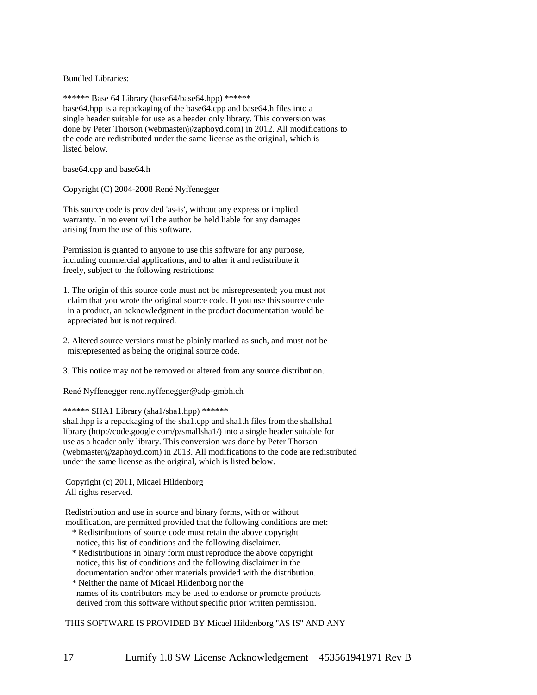Bundled Libraries:

\*\*\*\*\*\* Base 64 Library (base64/base64.hpp) \*\*\*\*\*\* base64.hpp is a repackaging of the base64.cpp and base64.h files into a single header suitable for use as a header only library. This conversion was done by Peter Thorson (webmaster@zaphoyd.com) in 2012. All modifications to the code are redistributed under the same license as the original, which is listed below.

base64.cpp and base64.h

Copyright (C) 2004-2008 René Nyffenegger

This source code is provided 'as-is', without any express or implied warranty. In no event will the author be held liable for any damages arising from the use of this software.

Permission is granted to anyone to use this software for any purpose, including commercial applications, and to alter it and redistribute it freely, subject to the following restrictions:

- 1. The origin of this source code must not be misrepresented; you must not claim that you wrote the original source code. If you use this source code in a product, an acknowledgment in the product documentation would be appreciated but is not required.
- 2. Altered source versions must be plainly marked as such, and must not be misrepresented as being the original source code.
- 3. This notice may not be removed or altered from any source distribution.

René Nyffenegger rene.nyffenegger@adp-gmbh.ch

\*\*\*\*\*\* SHA1 Library (sha1/sha1.hpp) \*\*\*\*\*\*

sha1.hpp is a repackaging of the sha1.cpp and sha1.h files from the shallsha1 library (http://code.google.com/p/smallsha1/) into a single header suitable for use as a header only library. This conversion was done by Peter Thorson (webmaster@zaphoyd.com) in 2013. All modifications to the code are redistributed under the same license as the original, which is listed below.

Copyright (c) 2011, Micael Hildenborg All rights reserved.

Redistribution and use in source and binary forms, with or without modification, are permitted provided that the following conditions are met:

- \* Redistributions of source code must retain the above copyright notice, this list of conditions and the following disclaimer.
- \* Redistributions in binary form must reproduce the above copyright notice, this list of conditions and the following disclaimer in the documentation and/or other materials provided with the distribution.
- \* Neither the name of Micael Hildenborg nor the names of its contributors may be used to endorse or promote products derived from this software without specific prior written permission.

THIS SOFTWARE IS PROVIDED BY Micael Hildenborg ''AS IS'' AND ANY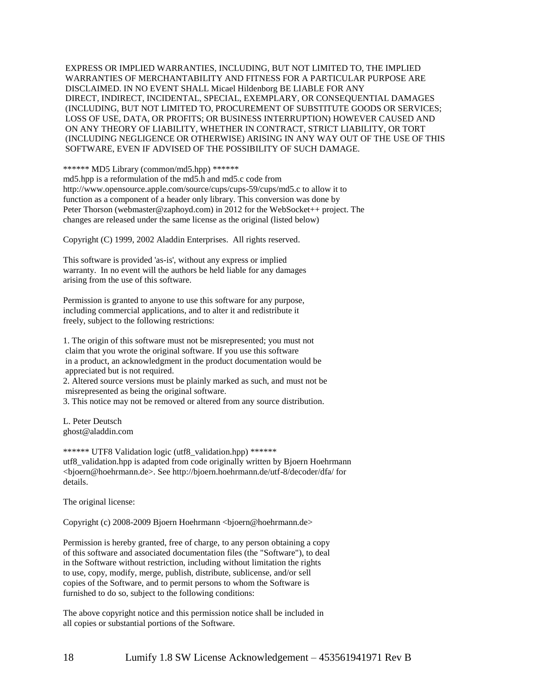EXPRESS OR IMPLIED WARRANTIES, INCLUDING, BUT NOT LIMITED TO, THE IMPLIED WARRANTIES OF MERCHANTABILITY AND FITNESS FOR A PARTICULAR PURPOSE ARE DISCLAIMED. IN NO EVENT SHALL Micael Hildenborg BE LIABLE FOR ANY DIRECT, INDIRECT, INCIDENTAL, SPECIAL, EXEMPLARY, OR CONSEQUENTIAL DAMAGES (INCLUDING, BUT NOT LIMITED TO, PROCUREMENT OF SUBSTITUTE GOODS OR SERVICES; LOSS OF USE, DATA, OR PROFITS; OR BUSINESS INTERRUPTION) HOWEVER CAUSED AND ON ANY THEORY OF LIABILITY, WHETHER IN CONTRACT, STRICT LIABILITY, OR TORT (INCLUDING NEGLIGENCE OR OTHERWISE) ARISING IN ANY WAY OUT OF THE USE OF THIS SOFTWARE, EVEN IF ADVISED OF THE POSSIBILITY OF SUCH DAMAGE.

\*\*\*\*\*\* MD5 Library (common/md5.hpp) \*\*\*\*\*\*

md5.hpp is a reformulation of the md5.h and md5.c code from http://www.opensource.apple.com/source/cups/cups-59/cups/md5.c to allow it to function as a component of a header only library. This conversion was done by Peter Thorson (webmaster@zaphoyd.com) in 2012 for the WebSocket++ project. The changes are released under the same license as the original (listed below)

Copyright (C) 1999, 2002 Aladdin Enterprises. All rights reserved.

This software is provided 'as-is', without any express or implied warranty. In no event will the authors be held liable for any damages arising from the use of this software.

Permission is granted to anyone to use this software for any purpose, including commercial applications, and to alter it and redistribute it freely, subject to the following restrictions:

1. The origin of this software must not be misrepresented; you must not claim that you wrote the original software. If you use this software in a product, an acknowledgment in the product documentation would be appreciated but is not required.

2. Altered source versions must be plainly marked as such, and must not be misrepresented as being the original software.

3. This notice may not be removed or altered from any source distribution.

L. Peter Deutsch ghost@aladdin.com

\*\*\*\*\*\* UTF8 Validation logic (utf8\_validation.hpp) \*\*\*\*\*\* utf8\_validation.hpp is adapted from code originally written by Bjoern Hoehrmann <bjoern@hoehrmann.de>. See http://bjoern.hoehrmann.de/utf-8/decoder/dfa/ for details.

The original license:

Copyright (c) 2008-2009 Bjoern Hoehrmann <bjoern@hoehrmann.de>

Permission is hereby granted, free of charge, to any person obtaining a copy of this software and associated documentation files (the "Software"), to deal in the Software without restriction, including without limitation the rights to use, copy, modify, merge, publish, distribute, sublicense, and/or sell copies of the Software, and to permit persons to whom the Software is furnished to do so, subject to the following conditions:

The above copyright notice and this permission notice shall be included in all copies or substantial portions of the Software.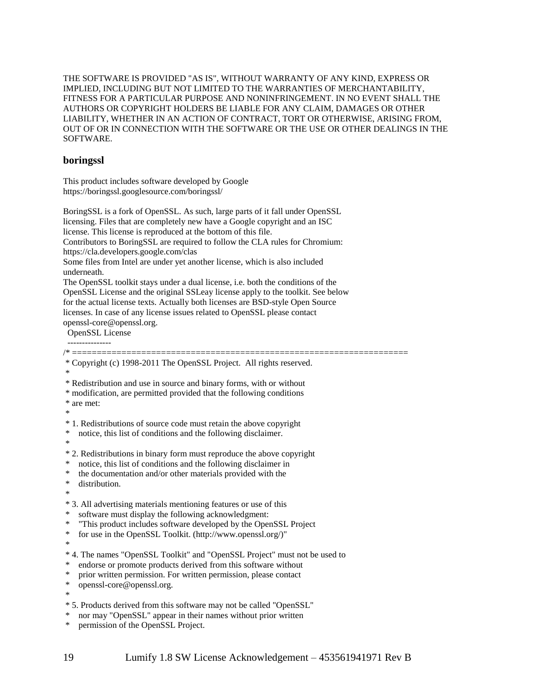THE SOFTWARE IS PROVIDED "AS IS", WITHOUT WARRANTY OF ANY KIND, EXPRESS OR IMPLIED, INCLUDING BUT NOT LIMITED TO THE WARRANTIES OF MERCHANTABILITY, FITNESS FOR A PARTICULAR PURPOSE AND NONINFRINGEMENT. IN NO EVENT SHALL THE AUTHORS OR COPYRIGHT HOLDERS BE LIABLE FOR ANY CLAIM, DAMAGES OR OTHER LIABILITY, WHETHER IN AN ACTION OF CONTRACT, TORT OR OTHERWISE, ARISING FROM, OUT OF OR IN CONNECTION WITH THE SOFTWARE OR THE USE OR OTHER DEALINGS IN THE SOFTWARE.

#### **boringssl**

This product includes software developed by Google https://boringssl.googlesource.com/boringssl/

BoringSSL is a fork of OpenSSL. As such, large parts of it fall under OpenSSL licensing. Files that are completely new have a Google copyright and an ISC license. This license is reproduced at the bottom of this file. Contributors to BoringSSL are required to follow the CLA rules for Chromium: https://cla.developers.google.com/clas Some files from Intel are under yet another license, which is also included underneath.

The OpenSSL toolkit stays under a dual license, i.e. both the conditions of the OpenSSL License and the original SSLeay license apply to the toolkit. See below for the actual license texts. Actually both licenses are BSD-style Open Source licenses. In case of any license issues related to OpenSSL please contact openssl-core@openssl.org.

OpenSSL License

/\* ==================================================================== \* Copyright (c) 1998-2011 The OpenSSL Project. All rights reserved. \*

\* Redistribution and use in source and binary forms, with or without

\* modification, are permitted provided that the following conditions

\* are met:

\* 1. Redistributions of source code must retain the above copyright

- notice, this list of conditions and the following disclaimer.
- \*

\*

- \* 2. Redistributions in binary form must reproduce the above copyright
- notice, this list of conditions and the following disclaimer in
- \* the documentation and/or other materials provided with the \* distribution
- distribution.

\*

- \* 3. All advertising materials mentioning features or use of this
- software must display the following acknowledgment:
- \* "This product includes software developed by the OpenSSL Project
- \* for use in the OpenSSL Toolkit. (http://www.openssl.org/)"
- \*
- \* 4. The names "OpenSSL Toolkit" and "OpenSSL Project" must not be used to
- endorse or promote products derived from this software without
- prior written permission. For written permission, please contact
- openssl-core@openssl.org.

\*

- \* 5. Products derived from this software may not be called "OpenSSL"
- nor may "OpenSSL" appear in their names without prior written
- permission of the OpenSSL Project.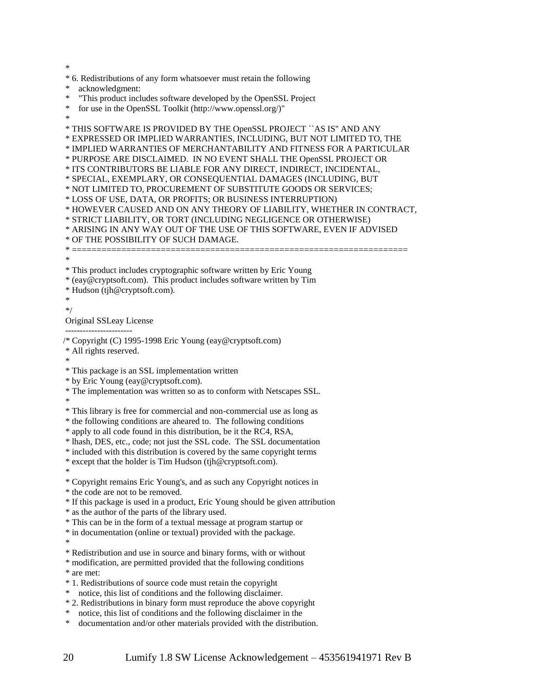\*

\* 6. Redistributions of any form whatsoever must retain the following

acknowledgment:

\* "This product includes software developed by the OpenSSL Project

\* for use in the OpenSSL Toolkit (http://www.openssl.org/)"

\*

\* THIS SOFTWARE IS PROVIDED BY THE OpenSSL PROJECT ``AS IS'' AND ANY \* EXPRESSED OR IMPLIED WARRANTIES, INCLUDING, BUT NOT LIMITED TO, THE

\* IMPLIED WARRANTIES OF MERCHANTABILITY AND FITNESS FOR A PARTICULAR

\* PURPOSE ARE DISCLAIMED. IN NO EVENT SHALL THE OpenSSL PROJECT OR

\* ITS CONTRIBUTORS BE LIABLE FOR ANY DIRECT, INDIRECT, INCIDENTAL,

\* SPECIAL, EXEMPLARY, OR CONSEQUENTIAL DAMAGES (INCLUDING, BUT

\* NOT LIMITED TO, PROCUREMENT OF SUBSTITUTE GOODS OR SERVICES;

\* LOSS OF USE, DATA, OR PROFITS; OR BUSINESS INTERRUPTION)

\* HOWEVER CAUSED AND ON ANY THEORY OF LIABILITY, WHETHER IN CONTRACT,

\* STRICT LIABILITY, OR TORT (INCLUDING NEGLIGENCE OR OTHERWISE)

\* ARISING IN ANY WAY OUT OF THE USE OF THIS SOFTWARE, EVEN IF ADVISED

```
* OF THE POSSIBILITY OF SUCH DAMAGE.
```
\* ====================================================================

\*

\* This product includes cryptographic software written by Eric Young

\* (eay@cryptsoft.com). This product includes software written by Tim

\* Hudson (tjh@cryptsoft.com).

\*

\*/

Original SSLeay License

/\* Copyright (C) 1995-1998 Eric Young (eay@cryptsoft.com)

\* All rights reserved.

-----------------------

\*

\* This package is an SSL implementation written

\* by Eric Young (eay@cryptsoft.com).

\* The implementation was written so as to conform with Netscapes SSL.

\*

\* This library is free for commercial and non-commercial use as long as

\* the following conditions are aheared to. The following conditions

\* apply to all code found in this distribution, be it the RC4, RSA,

\* lhash, DES, etc., code; not just the SSL code. The SSL documentation

\* included with this distribution is covered by the same copyright terms

\* except that the holder is Tim Hudson (tjh@cryptsoft.com).

\*

\* Copyright remains Eric Young's, and as such any Copyright notices in

\* the code are not to be removed.

\* If this package is used in a product, Eric Young should be given attribution

\* as the author of the parts of the library used.

\* This can be in the form of a textual message at program startup or

\* in documentation (online or textual) provided with the package.

\*

\* Redistribution and use in source and binary forms, with or without

\* modification, are permitted provided that the following conditions

\* are met:

\* 1. Redistributions of source code must retain the copyright

\* notice, this list of conditions and the following disclaimer.

\* 2. Redistributions in binary form must reproduce the above copyright

\* notice, this list of conditions and the following disclaimer in the

\* documentation and/or other materials provided with the distribution.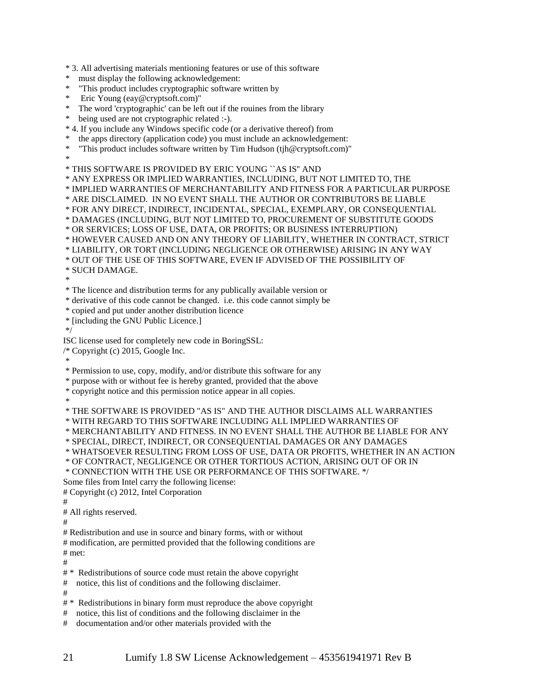\* 3. All advertising materials mentioning features or use of this software

- \* must display the following acknowledgement:
- \* "This product includes cryptographic software written by
- \* Eric Young (eay@cryptsoft.com)"
- \* The word 'cryptographic' can be left out if the rouines from the library
- \* being used are not cryptographic related :-).

\* 4. If you include any Windows specific code (or a derivative thereof) from

- the apps directory (application code) you must include an acknowledgement:
- "This product includes software written by Tim Hudson (tjh@cryptsoft.com)" \*

\* THIS SOFTWARE IS PROVIDED BY ERIC YOUNG ``AS IS'' AND

\* ANY EXPRESS OR IMPLIED WARRANTIES, INCLUDING, BUT NOT LIMITED TO, THE

\* IMPLIED WARRANTIES OF MERCHANTABILITY AND FITNESS FOR A PARTICULAR PURPOSE

\* ARE DISCLAIMED. IN NO EVENT SHALL THE AUTHOR OR CONTRIBUTORS BE LIABLE

\* FOR ANY DIRECT, INDIRECT, INCIDENTAL, SPECIAL, EXEMPLARY, OR CONSEQUENTIAL

- \* DAMAGES (INCLUDING, BUT NOT LIMITED TO, PROCUREMENT OF SUBSTITUTE GOODS
- \* OR SERVICES; LOSS OF USE, DATA, OR PROFITS; OR BUSINESS INTERRUPTION)

\* HOWEVER CAUSED AND ON ANY THEORY OF LIABILITY, WHETHER IN CONTRACT, STRICT

\* LIABILITY, OR TORT (INCLUDING NEGLIGENCE OR OTHERWISE) ARISING IN ANY WAY

\* OUT OF THE USE OF THIS SOFTWARE, EVEN IF ADVISED OF THE POSSIBILITY OF

\* SUCH DAMAGE.

\*

\* The licence and distribution terms for any publically available version or

- \* derivative of this code cannot be changed. i.e. this code cannot simply be
- \* copied and put under another distribution licence
- \* [including the GNU Public Licence.]
- \*/

ISC license used for completely new code in BoringSSL:

/\* Copyright (c) 2015, Google Inc.

\*

\* Permission to use, copy, modify, and/or distribute this software for any

\* purpose with or without fee is hereby granted, provided that the above

\* copyright notice and this permission notice appear in all copies.

\*

\* THE SOFTWARE IS PROVIDED "AS IS" AND THE AUTHOR DISCLAIMS ALL WARRANTIES

\* WITH REGARD TO THIS SOFTWARE INCLUDING ALL IMPLIED WARRANTIES OF

\* MERCHANTABILITY AND FITNESS. IN NO EVENT SHALL THE AUTHOR BE LIABLE FOR ANY

\* SPECIAL, DIRECT, INDIRECT, OR CONSEQUENTIAL DAMAGES OR ANY DAMAGES

\* WHATSOEVER RESULTING FROM LOSS OF USE, DATA OR PROFITS, WHETHER IN AN ACTION

\* OF CONTRACT, NEGLIGENCE OR OTHER TORTIOUS ACTION, ARISING OUT OF OR IN

\* CONNECTION WITH THE USE OR PERFORMANCE OF THIS SOFTWARE. \*/

Some files from Intel carry the following license:

# Copyright (c) 2012, Intel Corporation

#

# All rights reserved.

#

# Redistribution and use in source and binary forms, with or without

# modification, are permitted provided that the following conditions are # met:

#

# \* Redistributions of source code must retain the above copyright

# notice, this list of conditions and the following disclaimer.

#

# \* Redistributions in binary form must reproduce the above copyright

# notice, this list of conditions and the following disclaimer in the

# documentation and/or other materials provided with the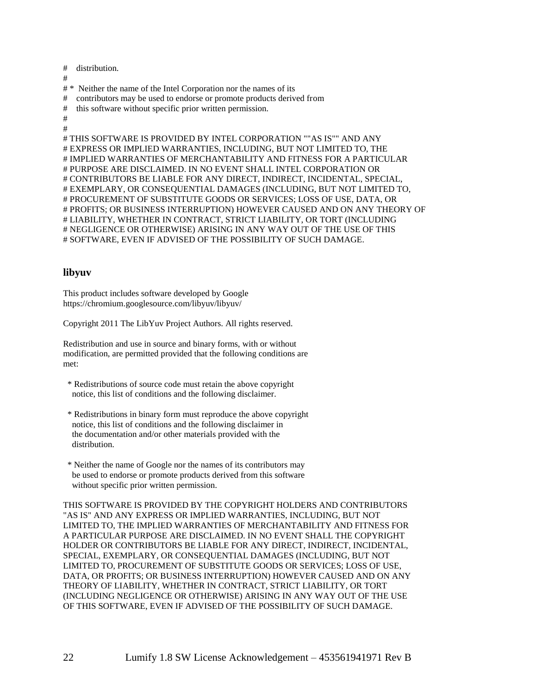# distribution.

#

# \* Neither the name of the Intel Corporation nor the names of its

- # contributors may be used to endorse or promote products derived from
- # this software without specific prior written permission.
- # #

# EXPRESS OR IMPLIED WARRANTIES, INCLUDING, BUT NOT LIMITED TO, THE # IMPLIED WARRANTIES OF MERCHANTABILITY AND FITNESS FOR A PARTICULAR # PURPOSE ARE DISCLAIMED. IN NO EVENT SHALL INTEL CORPORATION OR # CONTRIBUTORS BE LIABLE FOR ANY DIRECT, INDIRECT, INCIDENTAL, SPECIAL, # EXEMPLARY, OR CONSEQUENTIAL DAMAGES (INCLUDING, BUT NOT LIMITED TO, # PROCUREMENT OF SUBSTITUTE GOODS OR SERVICES; LOSS OF USE, DATA, OR # PROFITS; OR BUSINESS INTERRUPTION) HOWEVER CAUSED AND ON ANY THEORY OF # LIABILITY, WHETHER IN CONTRACT, STRICT LIABILITY, OR TORT (INCLUDING

#### # NEGLIGENCE OR OTHERWISE) ARISING IN ANY WAY OUT OF THE USE OF THIS # SOFTWARE, EVEN IF ADVISED OF THE POSSIBILITY OF SUCH DAMAGE.

# THIS SOFTWARE IS PROVIDED BY INTEL CORPORATION ""AS IS"" AND ANY

### **libyuv**

This product includes software developed by Google https://chromium.googlesource.com/libyuv/libyuv/

Copyright 2011 The LibYuv Project Authors. All rights reserved.

Redistribution and use in source and binary forms, with or without modification, are permitted provided that the following conditions are met:

- \* Redistributions of source code must retain the above copyright notice, this list of conditions and the following disclaimer.
- \* Redistributions in binary form must reproduce the above copyright notice, this list of conditions and the following disclaimer in the documentation and/or other materials provided with the distribution.
- \* Neither the name of Google nor the names of its contributors may be used to endorse or promote products derived from this software without specific prior written permission.

THIS SOFTWARE IS PROVIDED BY THE COPYRIGHT HOLDERS AND CONTRIBUTORS "AS IS" AND ANY EXPRESS OR IMPLIED WARRANTIES, INCLUDING, BUT NOT LIMITED TO, THE IMPLIED WARRANTIES OF MERCHANTABILITY AND FITNESS FOR A PARTICULAR PURPOSE ARE DISCLAIMED. IN NO EVENT SHALL THE COPYRIGHT HOLDER OR CONTRIBUTORS BE LIABLE FOR ANY DIRECT, INDIRECT, INCIDENTAL, SPECIAL, EXEMPLARY, OR CONSEQUENTIAL DAMAGES (INCLUDING, BUT NOT LIMITED TO, PROCUREMENT OF SUBSTITUTE GOODS OR SERVICES; LOSS OF USE, DATA, OR PROFITS; OR BUSINESS INTERRUPTION) HOWEVER CAUSED AND ON ANY THEORY OF LIABILITY, WHETHER IN CONTRACT, STRICT LIABILITY, OR TORT (INCLUDING NEGLIGENCE OR OTHERWISE) ARISING IN ANY WAY OUT OF THE USE OF THIS SOFTWARE, EVEN IF ADVISED OF THE POSSIBILITY OF SUCH DAMAGE.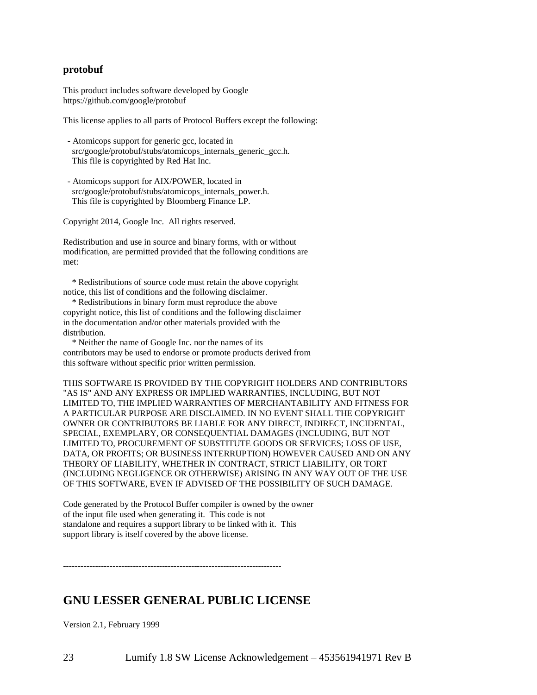#### **protobuf**

This product includes software developed by Google https://github.com/google/protobuf

This license applies to all parts of Protocol Buffers except the following:

- Atomicops support for generic gcc, located in src/google/protobuf/stubs/atomicops\_internals\_generic\_gcc.h. This file is copyrighted by Red Hat Inc.
- Atomicops support for AIX/POWER, located in src/google/protobuf/stubs/atomicops\_internals\_power.h. This file is copyrighted by Bloomberg Finance LP.

Copyright 2014, Google Inc. All rights reserved.

Redistribution and use in source and binary forms, with or without modification, are permitted provided that the following conditions are met:

 \* Redistributions of source code must retain the above copyright notice, this list of conditions and the following disclaimer.

 \* Redistributions in binary form must reproduce the above copyright notice, this list of conditions and the following disclaimer in the documentation and/or other materials provided with the distribution.

 \* Neither the name of Google Inc. nor the names of its contributors may be used to endorse or promote products derived from this software without specific prior written permission.

THIS SOFTWARE IS PROVIDED BY THE COPYRIGHT HOLDERS AND CONTRIBUTORS "AS IS" AND ANY EXPRESS OR IMPLIED WARRANTIES, INCLUDING, BUT NOT LIMITED TO, THE IMPLIED WARRANTIES OF MERCHANTABILITY AND FITNESS FOR A PARTICULAR PURPOSE ARE DISCLAIMED. IN NO EVENT SHALL THE COPYRIGHT OWNER OR CONTRIBUTORS BE LIABLE FOR ANY DIRECT, INDIRECT, INCIDENTAL, SPECIAL, EXEMPLARY, OR CONSEQUENTIAL DAMAGES (INCLUDING, BUT NOT LIMITED TO, PROCUREMENT OF SUBSTITUTE GOODS OR SERVICES; LOSS OF USE, DATA, OR PROFITS; OR BUSINESS INTERRUPTION) HOWEVER CAUSED AND ON ANY THEORY OF LIABILITY, WHETHER IN CONTRACT, STRICT LIABILITY, OR TORT (INCLUDING NEGLIGENCE OR OTHERWISE) ARISING IN ANY WAY OUT OF THE USE OF THIS SOFTWARE, EVEN IF ADVISED OF THE POSSIBILITY OF SUCH DAMAGE.

Code generated by the Protocol Buffer compiler is owned by the owner of the input file used when generating it. This code is not standalone and requires a support library to be linked with it. This support library is itself covered by the above license.

---------------------------------------------------------------------------

# **GNU LESSER GENERAL PUBLIC LICENSE**

Version 2.1, February 1999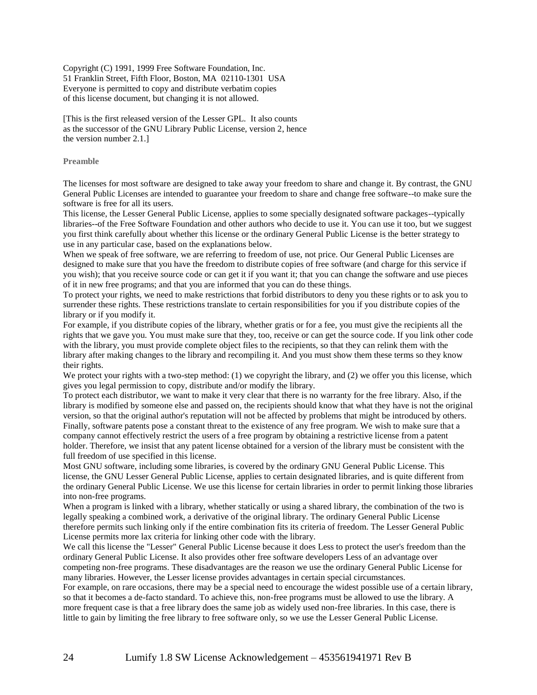Copyright (C) 1991, 1999 Free Software Foundation, Inc. 51 Franklin Street, Fifth Floor, Boston, MA 02110-1301 USA Everyone is permitted to copy and distribute verbatim copies of this license document, but changing it is not allowed.

[This is the first released version of the Lesser GPL. It also counts as the successor of the GNU Library Public License, version 2, hence the version number 2.1.]

#### **Preamble**

The licenses for most software are designed to take away your freedom to share and change it. By contrast, the GNU General Public Licenses are intended to guarantee your freedom to share and change free software--to make sure the software is free for all its users.

This license, the Lesser General Public License, applies to some specially designated software packages--typically libraries--of the Free Software Foundation and other authors who decide to use it. You can use it too, but we suggest you first think carefully about whether this license or the ordinary General Public License is the better strategy to use in any particular case, based on the explanations below.

When we speak of free software, we are referring to freedom of use, not price. Our General Public Licenses are designed to make sure that you have the freedom to distribute copies of free software (and charge for this service if you wish); that you receive source code or can get it if you want it; that you can change the software and use pieces of it in new free programs; and that you are informed that you can do these things.

To protect your rights, we need to make restrictions that forbid distributors to deny you these rights or to ask you to surrender these rights. These restrictions translate to certain responsibilities for you if you distribute copies of the library or if you modify it.

For example, if you distribute copies of the library, whether gratis or for a fee, you must give the recipients all the rights that we gave you. You must make sure that they, too, receive or can get the source code. If you link other code with the library, you must provide complete object files to the recipients, so that they can relink them with the library after making changes to the library and recompiling it. And you must show them these terms so they know their rights.

We protect your rights with a two-step method: (1) we copyright the library, and (2) we offer you this license, which gives you legal permission to copy, distribute and/or modify the library.

To protect each distributor, we want to make it very clear that there is no warranty for the free library. Also, if the library is modified by someone else and passed on, the recipients should know that what they have is not the original version, so that the original author's reputation will not be affected by problems that might be introduced by others. Finally, software patents pose a constant threat to the existence of any free program. We wish to make sure that a company cannot effectively restrict the users of a free program by obtaining a restrictive license from a patent holder. Therefore, we insist that any patent license obtained for a version of the library must be consistent with the full freedom of use specified in this license.

Most GNU software, including some libraries, is covered by the ordinary GNU General Public License. This license, the GNU Lesser General Public License, applies to certain designated libraries, and is quite different from the ordinary General Public License. We use this license for certain libraries in order to permit linking those libraries into non-free programs.

When a program is linked with a library, whether statically or using a shared library, the combination of the two is legally speaking a combined work, a derivative of the original library. The ordinary General Public License therefore permits such linking only if the entire combination fits its criteria of freedom. The Lesser General Public License permits more lax criteria for linking other code with the library.

We call this license the "Lesser" General Public License because it does Less to protect the user's freedom than the ordinary General Public License. It also provides other free software developers Less of an advantage over competing non-free programs. These disadvantages are the reason we use the ordinary General Public License for many libraries. However, the Lesser license provides advantages in certain special circumstances.

For example, on rare occasions, there may be a special need to encourage the widest possible use of a certain library, so that it becomes a de-facto standard. To achieve this, non-free programs must be allowed to use the library. A more frequent case is that a free library does the same job as widely used non-free libraries. In this case, there is little to gain by limiting the free library to free software only, so we use the Lesser General Public License.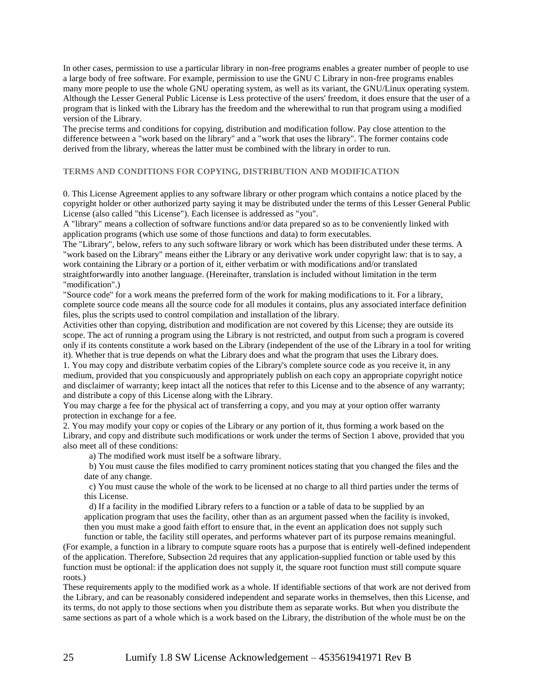In other cases, permission to use a particular library in non-free programs enables a greater number of people to use a large body of free software. For example, permission to use the GNU C Library in non-free programs enables many more people to use the whole GNU operating system, as well as its variant, the GNU/Linux operating system. Although the Lesser General Public License is Less protective of the users' freedom, it does ensure that the user of a program that is linked with the Library has the freedom and the wherewithal to run that program using a modified version of the Library.

The precise terms and conditions for copying, distribution and modification follow. Pay close attention to the difference between a "work based on the library" and a "work that uses the library". The former contains code derived from the library, whereas the latter must be combined with the library in order to run.

#### **TERMS AND CONDITIONS FOR COPYING, DISTRIBUTION AND MODIFICATION**

0. This License Agreement applies to any software library or other program which contains a notice placed by the copyright holder or other authorized party saying it may be distributed under the terms of this Lesser General Public License (also called "this License"). Each licensee is addressed as "you".

A "library" means a collection of software functions and/or data prepared so as to be conveniently linked with application programs (which use some of those functions and data) to form executables.

The "Library", below, refers to any such software library or work which has been distributed under these terms. A "work based on the Library" means either the Library or any derivative work under copyright law: that is to say, a work containing the Library or a portion of it, either verbatim or with modifications and/or translated straightforwardly into another language. (Hereinafter, translation is included without limitation in the term "modification".)

"Source code" for a work means the preferred form of the work for making modifications to it. For a library, complete source code means all the source code for all modules it contains, plus any associated interface definition files, plus the scripts used to control compilation and installation of the library.

Activities other than copying, distribution and modification are not covered by this License; they are outside its scope. The act of running a program using the Library is not restricted, and output from such a program is covered only if its contents constitute a work based on the Library (independent of the use of the Library in a tool for writing it). Whether that is true depends on what the Library does and what the program that uses the Library does.

1. You may copy and distribute verbatim copies of the Library's complete source code as you receive it, in any medium, provided that you conspicuously and appropriately publish on each copy an appropriate copyright notice and disclaimer of warranty; keep intact all the notices that refer to this License and to the absence of any warranty; and distribute a copy of this License along with the Library.

You may charge a fee for the physical act of transferring a copy, and you may at your option offer warranty protection in exchange for a fee.

2. You may modify your copy or copies of the Library or any portion of it, thus forming a work based on the Library, and copy and distribute such modifications or work under the terms of Section 1 above, provided that you also meet all of these conditions:

a) The modified work must itself be a software library.

b) You must cause the files modified to carry prominent notices stating that you changed the files and the date of any change.

c) You must cause the whole of the work to be licensed at no charge to all third parties under the terms of this License.

d) If a facility in the modified Library refers to a function or a table of data to be supplied by an application program that uses the facility, other than as an argument passed when the facility is invoked, then you must make a good faith effort to ensure that, in the event an application does not supply such

function or table, the facility still operates, and performs whatever part of its purpose remains meaningful. (For example, a function in a library to compute square roots has a purpose that is entirely well-defined independent of the application. Therefore, Subsection 2d requires that any application-supplied function or table used by this function must be optional: if the application does not supply it, the square root function must still compute square roots.)

These requirements apply to the modified work as a whole. If identifiable sections of that work are not derived from the Library, and can be reasonably considered independent and separate works in themselves, then this License, and its terms, do not apply to those sections when you distribute them as separate works. But when you distribute the same sections as part of a whole which is a work based on the Library, the distribution of the whole must be on the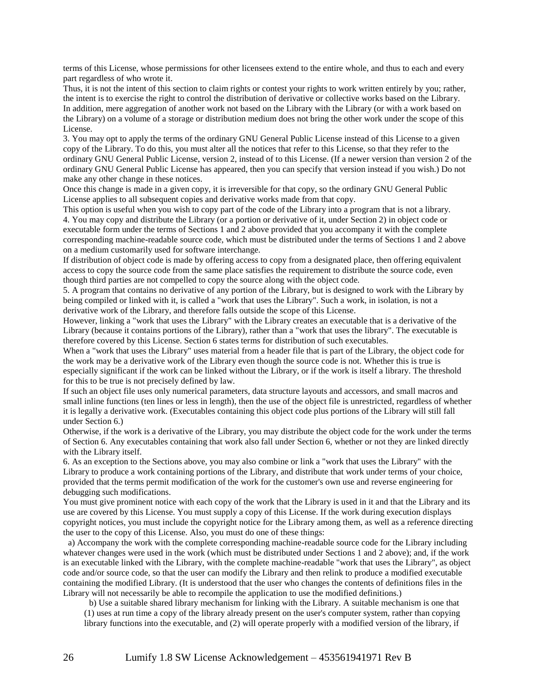terms of this License, whose permissions for other licensees extend to the entire whole, and thus to each and every part regardless of who wrote it.

Thus, it is not the intent of this section to claim rights or contest your rights to work written entirely by you; rather, the intent is to exercise the right to control the distribution of derivative or collective works based on the Library. In addition, mere aggregation of another work not based on the Library with the Library (or with a work based on the Library) on a volume of a storage or distribution medium does not bring the other work under the scope of this License.

3. You may opt to apply the terms of the ordinary GNU General Public License instead of this License to a given copy of the Library. To do this, you must alter all the notices that refer to this License, so that they refer to the ordinary GNU General Public License, version 2, instead of to this License. (If a newer version than version 2 of the ordinary GNU General Public License has appeared, then you can specify that version instead if you wish.) Do not make any other change in these notices.

Once this change is made in a given copy, it is irreversible for that copy, so the ordinary GNU General Public License applies to all subsequent copies and derivative works made from that copy.

This option is useful when you wish to copy part of the code of the Library into a program that is not a library. 4. You may copy and distribute the Library (or a portion or derivative of it, under Section 2) in object code or executable form under the terms of Sections 1 and 2 above provided that you accompany it with the complete corresponding machine-readable source code, which must be distributed under the terms of Sections 1 and 2 above on a medium customarily used for software interchange.

If distribution of object code is made by offering access to copy from a designated place, then offering equivalent access to copy the source code from the same place satisfies the requirement to distribute the source code, even though third parties are not compelled to copy the source along with the object code.

5. A program that contains no derivative of any portion of the Library, but is designed to work with the Library by being compiled or linked with it, is called a "work that uses the Library". Such a work, in isolation, is not a derivative work of the Library, and therefore falls outside the scope of this License.

However, linking a "work that uses the Library" with the Library creates an executable that is a derivative of the Library (because it contains portions of the Library), rather than a "work that uses the library". The executable is therefore covered by this License. Section 6 states terms for distribution of such executables.

When a "work that uses the Library" uses material from a header file that is part of the Library, the object code for the work may be a derivative work of the Library even though the source code is not. Whether this is true is especially significant if the work can be linked without the Library, or if the work is itself a library. The threshold for this to be true is not precisely defined by law.

If such an object file uses only numerical parameters, data structure layouts and accessors, and small macros and small inline functions (ten lines or less in length), then the use of the object file is unrestricted, regardless of whether it is legally a derivative work. (Executables containing this object code plus portions of the Library will still fall under Section 6.)

Otherwise, if the work is a derivative of the Library, you may distribute the object code for the work under the terms of Section 6. Any executables containing that work also fall under Section 6, whether or not they are linked directly with the Library itself.

6. As an exception to the Sections above, you may also combine or link a "work that uses the Library" with the Library to produce a work containing portions of the Library, and distribute that work under terms of your choice, provided that the terms permit modification of the work for the customer's own use and reverse engineering for debugging such modifications.

You must give prominent notice with each copy of the work that the Library is used in it and that the Library and its use are covered by this License. You must supply a copy of this License. If the work during execution displays copyright notices, you must include the copyright notice for the Library among them, as well as a reference directing the user to the copy of this License. Also, you must do one of these things:

a) Accompany the work with the complete corresponding machine-readable source code for the Library including whatever changes were used in the work (which must be distributed under Sections 1 and 2 above); and, if the work is an executable linked with the Library, with the complete machine-readable "work that uses the Library", as object code and/or source code, so that the user can modify the Library and then relink to produce a modified executable containing the modified Library. (It is understood that the user who changes the contents of definitions files in the Library will not necessarily be able to recompile the application to use the modified definitions.)

b) Use a suitable shared library mechanism for linking with the Library. A suitable mechanism is one that

(1) uses at run time a copy of the library already present on the user's computer system, rather than copying library functions into the executable, and (2) will operate properly with a modified version of the library, if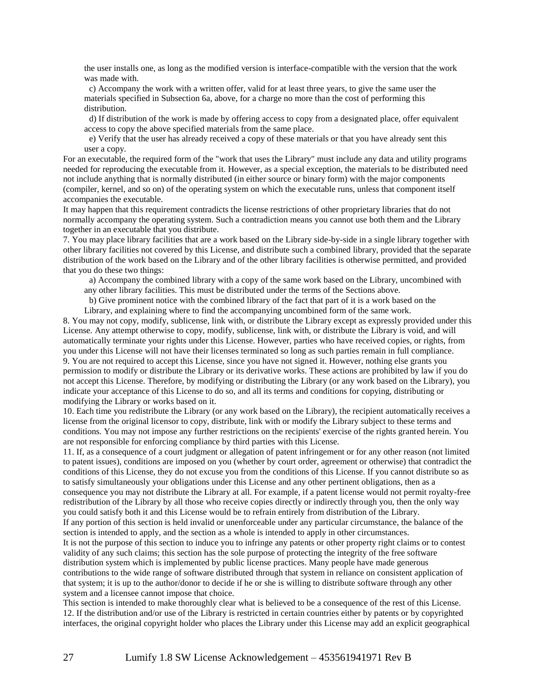the user installs one, as long as the modified version is interface-compatible with the version that the work was made with.

c) Accompany the work with a written offer, valid for at least three years, to give the same user the materials specified in Subsection 6a, above, for a charge no more than the cost of performing this distribution.

d) If distribution of the work is made by offering access to copy from a designated place, offer equivalent access to copy the above specified materials from the same place.

e) Verify that the user has already received a copy of these materials or that you have already sent this user a copy.

For an executable, the required form of the "work that uses the Library" must include any data and utility programs needed for reproducing the executable from it. However, as a special exception, the materials to be distributed need not include anything that is normally distributed (in either source or binary form) with the major components (compiler, kernel, and so on) of the operating system on which the executable runs, unless that component itself accompanies the executable.

It may happen that this requirement contradicts the license restrictions of other proprietary libraries that do not normally accompany the operating system. Such a contradiction means you cannot use both them and the Library together in an executable that you distribute.

7. You may place library facilities that are a work based on the Library side-by-side in a single library together with other library facilities not covered by this License, and distribute such a combined library, provided that the separate distribution of the work based on the Library and of the other library facilities is otherwise permitted, and provided that you do these two things:

a) Accompany the combined library with a copy of the same work based on the Library, uncombined with

any other library facilities. This must be distributed under the terms of the Sections above.

b) Give prominent notice with the combined library of the fact that part of it is a work based on the Library, and explaining where to find the accompanying uncombined form of the same work.

8. You may not copy, modify, sublicense, link with, or distribute the Library except as expressly provided under this License. Any attempt otherwise to copy, modify, sublicense, link with, or distribute the Library is void, and will automatically terminate your rights under this License. However, parties who have received copies, or rights, from you under this License will not have their licenses terminated so long as such parties remain in full compliance. 9. You are not required to accept this License, since you have not signed it. However, nothing else grants you permission to modify or distribute the Library or its derivative works. These actions are prohibited by law if you do not accept this License. Therefore, by modifying or distributing the Library (or any work based on the Library), you indicate your acceptance of this License to do so, and all its terms and conditions for copying, distributing or modifying the Library or works based on it.

10. Each time you redistribute the Library (or any work based on the Library), the recipient automatically receives a license from the original licensor to copy, distribute, link with or modify the Library subject to these terms and conditions. You may not impose any further restrictions on the recipients' exercise of the rights granted herein. You are not responsible for enforcing compliance by third parties with this License.

11. If, as a consequence of a court judgment or allegation of patent infringement or for any other reason (not limited to patent issues), conditions are imposed on you (whether by court order, agreement or otherwise) that contradict the conditions of this License, they do not excuse you from the conditions of this License. If you cannot distribute so as to satisfy simultaneously your obligations under this License and any other pertinent obligations, then as a consequence you may not distribute the Library at all. For example, if a patent license would not permit royalty-free redistribution of the Library by all those who receive copies directly or indirectly through you, then the only way you could satisfy both it and this License would be to refrain entirely from distribution of the Library. If any portion of this section is held invalid or unenforceable under any particular circumstance, the balance of the section is intended to apply, and the section as a whole is intended to apply in other circumstances.

It is not the purpose of this section to induce you to infringe any patents or other property right claims or to contest validity of any such claims; this section has the sole purpose of protecting the integrity of the free software distribution system which is implemented by public license practices. Many people have made generous contributions to the wide range of software distributed through that system in reliance on consistent application of that system; it is up to the author/donor to decide if he or she is willing to distribute software through any other system and a licensee cannot impose that choice.

This section is intended to make thoroughly clear what is believed to be a consequence of the rest of this License. 12. If the distribution and/or use of the Library is restricted in certain countries either by patents or by copyrighted interfaces, the original copyright holder who places the Library under this License may add an explicit geographical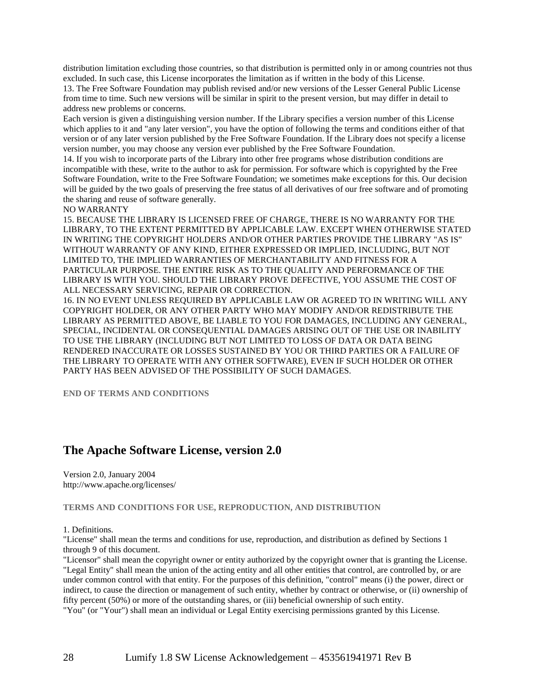distribution limitation excluding those countries, so that distribution is permitted only in or among countries not thus excluded. In such case, this License incorporates the limitation as if written in the body of this License.

13. The Free Software Foundation may publish revised and/or new versions of the Lesser General Public License from time to time. Such new versions will be similar in spirit to the present version, but may differ in detail to address new problems or concerns.

Each version is given a distinguishing version number. If the Library specifies a version number of this License which applies to it and "any later version", you have the option of following the terms and conditions either of that version or of any later version published by the Free Software Foundation. If the Library does not specify a license version number, you may choose any version ever published by the Free Software Foundation.

14. If you wish to incorporate parts of the Library into other free programs whose distribution conditions are incompatible with these, write to the author to ask for permission. For software which is copyrighted by the Free Software Foundation, write to the Free Software Foundation; we sometimes make exceptions for this. Our decision will be guided by the two goals of preserving the free status of all derivatives of our free software and of promoting the sharing and reuse of software generally.

NO WARRANTY

15. BECAUSE THE LIBRARY IS LICENSED FREE OF CHARGE, THERE IS NO WARRANTY FOR THE LIBRARY, TO THE EXTENT PERMITTED BY APPLICABLE LAW. EXCEPT WHEN OTHERWISE STATED IN WRITING THE COPYRIGHT HOLDERS AND/OR OTHER PARTIES PROVIDE THE LIBRARY "AS IS" WITHOUT WARRANTY OF ANY KIND, EITHER EXPRESSED OR IMPLIED, INCLUDING, BUT NOT LIMITED TO, THE IMPLIED WARRANTIES OF MERCHANTABILITY AND FITNESS FOR A PARTICULAR PURPOSE. THE ENTIRE RISK AS TO THE QUALITY AND PERFORMANCE OF THE LIBRARY IS WITH YOU. SHOULD THE LIBRARY PROVE DEFECTIVE, YOU ASSUME THE COST OF ALL NECESSARY SERVICING, REPAIR OR CORRECTION.

16. IN NO EVENT UNLESS REQUIRED BY APPLICABLE LAW OR AGREED TO IN WRITING WILL ANY COPYRIGHT HOLDER, OR ANY OTHER PARTY WHO MAY MODIFY AND/OR REDISTRIBUTE THE LIBRARY AS PERMITTED ABOVE, BE LIABLE TO YOU FOR DAMAGES, INCLUDING ANY GENERAL, SPECIAL, INCIDENTAL OR CONSEQUENTIAL DAMAGES ARISING OUT OF THE USE OR INABILITY TO USE THE LIBRARY (INCLUDING BUT NOT LIMITED TO LOSS OF DATA OR DATA BEING RENDERED INACCURATE OR LOSSES SUSTAINED BY YOU OR THIRD PARTIES OR A FAILURE OF THE LIBRARY TO OPERATE WITH ANY OTHER SOFTWARE), EVEN IF SUCH HOLDER OR OTHER PARTY HAS BEEN ADVISED OF THE POSSIBILITY OF SUCH DAMAGES.

**END OF TERMS AND CONDITIONS**

### **The Apache Software License, version 2.0**

Version 2.0, January 2004 http://www.apache.org/licenses/

#### **TERMS AND CONDITIONS FOR USE, REPRODUCTION, AND DISTRIBUTION**

1. Definitions.

"License" shall mean the terms and conditions for use, reproduction, and distribution as defined by Sections 1 through 9 of this document.

"Licensor" shall mean the copyright owner or entity authorized by the copyright owner that is granting the License. "Legal Entity" shall mean the union of the acting entity and all other entities that control, are controlled by, or are under common control with that entity. For the purposes of this definition, "control" means (i) the power, direct or indirect, to cause the direction or management of such entity, whether by contract or otherwise, or (ii) ownership of fifty percent (50%) or more of the outstanding shares, or (iii) beneficial ownership of such entity.

"You" (or "Your") shall mean an individual or Legal Entity exercising permissions granted by this License.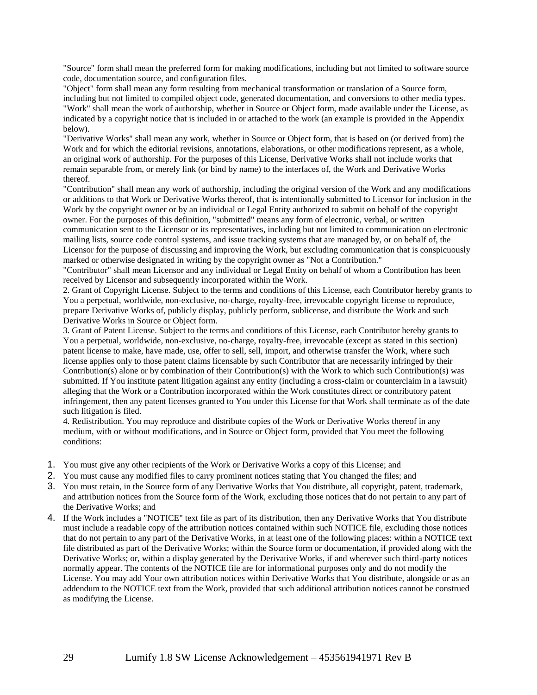"Source" form shall mean the preferred form for making modifications, including but not limited to software source code, documentation source, and configuration files.

"Object" form shall mean any form resulting from mechanical transformation or translation of a Source form, including but not limited to compiled object code, generated documentation, and conversions to other media types. "Work" shall mean the work of authorship, whether in Source or Object form, made available under the License, as indicated by a copyright notice that is included in or attached to the work (an example is provided in the Appendix below).

"Derivative Works" shall mean any work, whether in Source or Object form, that is based on (or derived from) the Work and for which the editorial revisions, annotations, elaborations, or other modifications represent, as a whole, an original work of authorship. For the purposes of this License, Derivative Works shall not include works that remain separable from, or merely link (or bind by name) to the interfaces of, the Work and Derivative Works thereof.

"Contribution" shall mean any work of authorship, including the original version of the Work and any modifications or additions to that Work or Derivative Works thereof, that is intentionally submitted to Licensor for inclusion in the Work by the copyright owner or by an individual or Legal Entity authorized to submit on behalf of the copyright owner. For the purposes of this definition, "submitted" means any form of electronic, verbal, or written communication sent to the Licensor or its representatives, including but not limited to communication on electronic mailing lists, source code control systems, and issue tracking systems that are managed by, or on behalf of, the Licensor for the purpose of discussing and improving the Work, but excluding communication that is conspicuously marked or otherwise designated in writing by the copyright owner as "Not a Contribution."

"Contributor" shall mean Licensor and any individual or Legal Entity on behalf of whom a Contribution has been received by Licensor and subsequently incorporated within the Work.

2. Grant of Copyright License. Subject to the terms and conditions of this License, each Contributor hereby grants to You a perpetual, worldwide, non-exclusive, no-charge, royalty-free, irrevocable copyright license to reproduce, prepare Derivative Works of, publicly display, publicly perform, sublicense, and distribute the Work and such Derivative Works in Source or Object form.

3. Grant of Patent License. Subject to the terms and conditions of this License, each Contributor hereby grants to You a perpetual, worldwide, non-exclusive, no-charge, royalty-free, irrevocable (except as stated in this section) patent license to make, have made, use, offer to sell, sell, import, and otherwise transfer the Work, where such license applies only to those patent claims licensable by such Contributor that are necessarily infringed by their Contribution(s) alone or by combination of their Contribution(s) with the Work to which such Contribution(s) was submitted. If You institute patent litigation against any entity (including a cross-claim or counterclaim in a lawsuit) alleging that the Work or a Contribution incorporated within the Work constitutes direct or contributory patent infringement, then any patent licenses granted to You under this License for that Work shall terminate as of the date such litigation is filed.

4. Redistribution. You may reproduce and distribute copies of the Work or Derivative Works thereof in any medium, with or without modifications, and in Source or Object form, provided that You meet the following conditions:

- 1. You must give any other recipients of the Work or Derivative Works a copy of this License; and
- 2. You must cause any modified files to carry prominent notices stating that You changed the files; and
- 3. You must retain, in the Source form of any Derivative Works that You distribute, all copyright, patent, trademark, and attribution notices from the Source form of the Work, excluding those notices that do not pertain to any part of the Derivative Works; and
- 4. If the Work includes a "NOTICE" text file as part of its distribution, then any Derivative Works that You distribute must include a readable copy of the attribution notices contained within such NOTICE file, excluding those notices that do not pertain to any part of the Derivative Works, in at least one of the following places: within a NOTICE text file distributed as part of the Derivative Works; within the Source form or documentation, if provided along with the Derivative Works; or, within a display generated by the Derivative Works, if and wherever such third-party notices normally appear. The contents of the NOTICE file are for informational purposes only and do not modify the License. You may add Your own attribution notices within Derivative Works that You distribute, alongside or as an addendum to the NOTICE text from the Work, provided that such additional attribution notices cannot be construed as modifying the License.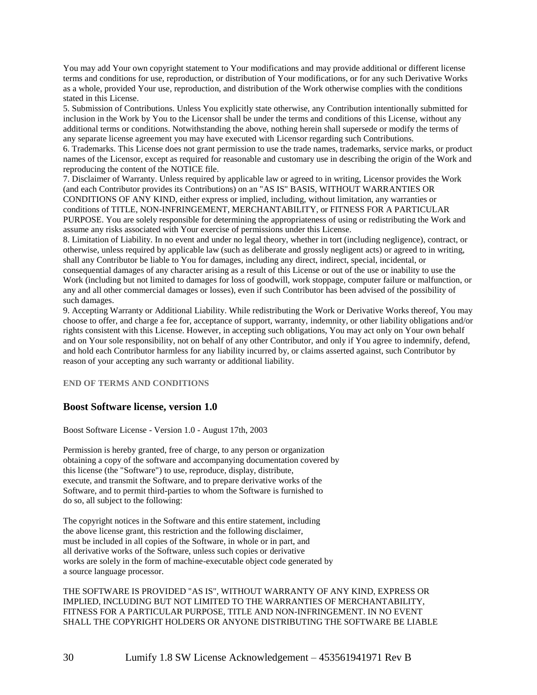You may add Your own copyright statement to Your modifications and may provide additional or different license terms and conditions for use, reproduction, or distribution of Your modifications, or for any such Derivative Works as a whole, provided Your use, reproduction, and distribution of the Work otherwise complies with the conditions stated in this License.

5. Submission of Contributions. Unless You explicitly state otherwise, any Contribution intentionally submitted for inclusion in the Work by You to the Licensor shall be under the terms and conditions of this License, without any additional terms or conditions. Notwithstanding the above, nothing herein shall supersede or modify the terms of any separate license agreement you may have executed with Licensor regarding such Contributions.

6. Trademarks. This License does not grant permission to use the trade names, trademarks, service marks, or product names of the Licensor, except as required for reasonable and customary use in describing the origin of the Work and reproducing the content of the NOTICE file.

7. Disclaimer of Warranty. Unless required by applicable law or agreed to in writing, Licensor provides the Work (and each Contributor provides its Contributions) on an "AS IS" BASIS, WITHOUT WARRANTIES OR CONDITIONS OF ANY KIND, either express or implied, including, without limitation, any warranties or conditions of TITLE, NON-INFRINGEMENT, MERCHANTABILITY, or FITNESS FOR A PARTICULAR PURPOSE. You are solely responsible for determining the appropriateness of using or redistributing the Work and assume any risks associated with Your exercise of permissions under this License.

8. Limitation of Liability. In no event and under no legal theory, whether in tort (including negligence), contract, or otherwise, unless required by applicable law (such as deliberate and grossly negligent acts) or agreed to in writing, shall any Contributor be liable to You for damages, including any direct, indirect, special, incidental, or

consequential damages of any character arising as a result of this License or out of the use or inability to use the Work (including but not limited to damages for loss of goodwill, work stoppage, computer failure or malfunction, or any and all other commercial damages or losses), even if such Contributor has been advised of the possibility of such damages.

9. Accepting Warranty or Additional Liability. While redistributing the Work or Derivative Works thereof, You may choose to offer, and charge a fee for, acceptance of support, warranty, indemnity, or other liability obligations and/or rights consistent with this License. However, in accepting such obligations, You may act only on Your own behalf and on Your sole responsibility, not on behalf of any other Contributor, and only if You agree to indemnify, defend, and hold each Contributor harmless for any liability incurred by, or claims asserted against, such Contributor by reason of your accepting any such warranty or additional liability.

**END OF TERMS AND CONDITIONS**

### **Boost Software license, version 1.0**

Boost Software License - Version 1.0 - August 17th, 2003

Permission is hereby granted, free of charge, to any person or organization obtaining a copy of the software and accompanying documentation covered by this license (the "Software") to use, reproduce, display, distribute, execute, and transmit the Software, and to prepare derivative works of the Software, and to permit third-parties to whom the Software is furnished to do so, all subject to the following:

The copyright notices in the Software and this entire statement, including the above license grant, this restriction and the following disclaimer, must be included in all copies of the Software, in whole or in part, and all derivative works of the Software, unless such copies or derivative works are solely in the form of machine-executable object code generated by a source language processor.

THE SOFTWARE IS PROVIDED "AS IS", WITHOUT WARRANTY OF ANY KIND, EXPRESS OR IMPLIED, INCLUDING BUT NOT LIMITED TO THE WARRANTIES OF MERCHANTABILITY, FITNESS FOR A PARTICULAR PURPOSE, TITLE AND NON-INFRINGEMENT. IN NO EVENT SHALL THE COPYRIGHT HOLDERS OR ANYONE DISTRIBUTING THE SOFTWARE BE LIABLE